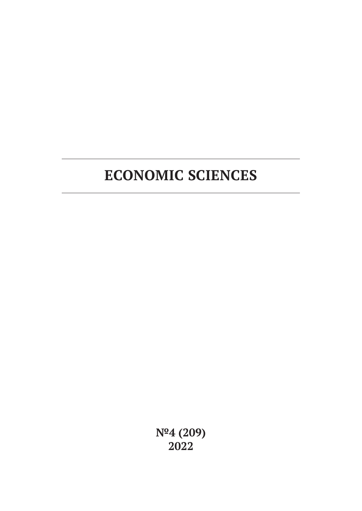# **ECONOMIC SCIENCES**

**№4 (209) 2022**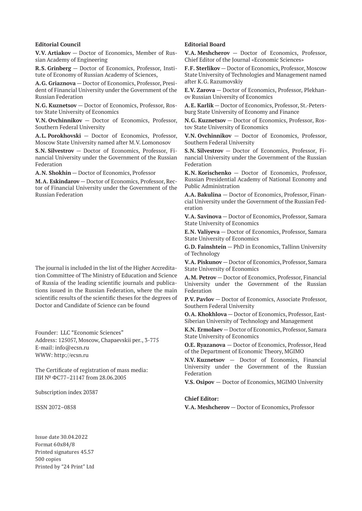#### **Editorial Council**

**V.V. Artiakov** — Doctor of Economics, Member of Russian Academy of Engineering

**R.S. Grinberg** — Doctor of Economics, Professor, Institute of Economy of Russian Academy of Sciences,

**A.G. Griaznova** — Doctor of Economics, Professor, President of Financial University under the Government of the Russian Federation

**N.G. Kuznetsov** — Doctor of Economics, Professor, Rostov State University of Economics

**V.N. Ovchinnikov** — Doctor of Economics, Professor, Southern Federal University

**A.L. Porokhovski** — Doctor of Economics, Professor, Moscow State University named after M.V. Lomonosov

**S.N. Silvestrov** — Doctor of Economics, Professor, Financial University under the Government of the Russian Federation

**A.N. Shokhin** — Doctor of Economics, Professor

**M.A. Eskindarov** — Doctor of Economics, Professor, Rector of Financial University under the Government of the Russian Federation

The journal is included in the list of the Higher Accreditation Committee of The Ministry of Education and Science of Russia of the leading scientific journals and publications issued in the Russian Federation, where the main scientific results of the scientific theses for the degrees of Doctor and Candidate of Science can be found

Founder: LLC "Economic Sciences" Address: 125057, Moscow, Chapaevskii per., 3-775 E-mail: info@ecsn.ru WWW: http://ecsn.ru

The Certificate of registration of mass media: ПИ № ФС77–21147 from 28.06.2005

Subscription index 20387

ISSN 2072–0858

#### **Editorial Board**

**V.A. Meshcherov** — Doctor of Economics, Professor, Chief Editor of the Journal «Economic Sciences»

**F.F. Sterlikov** — Doctor of Economics, Professor, Moscow State University of Technologies and Management named after K.G. Razumovskiy

**E.V. Zarova** — Doctor of Economics, Professor, Plekhanov Russian University of Economics

**A.E. Karlik** — Doctor of Economics, Professor, St.-Petersburg State University of Economy and Finance

**N.G. Kuznetsov** — Doctor of Economics, Professor, Rostov State University of Economics

**V.N. Ovchinnikov** — Doctor of Economics, Professor, Southern Federal University

**S.N. Silvestrov** — Doctor of Economics, Professor, Financial University under the Government of the Russian Federation

**K.N. Korischenko** — Doctor of Economics, Professor, Russian Presidential Academy of National Economy and Public Administration

**A.A. Bakulina** — Doctor of Economics, Professor, Financial University under the Government of the Russian Federation

**V.A. Savinova** — Doctor of Economics, Professor, Samara State University of Economics

**E.N. Valiyeva** — Doctor of Economics, Professor, Samara State University of Economics

**G.D. Fainshtein** — PhD in Economics, Tallinn University of Technology

**V.A. Piskunov** — Doctor of Economics, Professor, Samara State University of Economics

**A.M. Petrov** — Doctor of Economics, Professor, Financial University under the Government of the Russian Federation

**P.V. Pavlov** — Doctor of Economics, Associate Professor, Southern Federal University

**O.A. Khokhlova** — Doctor of Economics, Professor, East-Siberian University of Technology and Management

**K.N. Ermolaev** — Doctor of Economics, Professor, Samara State University of Economics

**O.E. Ryazanova** — Doctor of Economics, Professor, Head of the Department of Economic Theory, MGIMO

**N.V. Kuznetsov** — Doctor of Economics, Financial University under the Government of the Russian Federation

**V.S. Osipov** — Doctor of Economics, MGIMO University

#### **Chief Editor:**

**V.A. Meshcherov** — Doctor of Economics, Professor

Issue date 30.04.2022 Format 60х84/8 Printed signatures 45.57 500 copies Printed by "24 Print" Ltd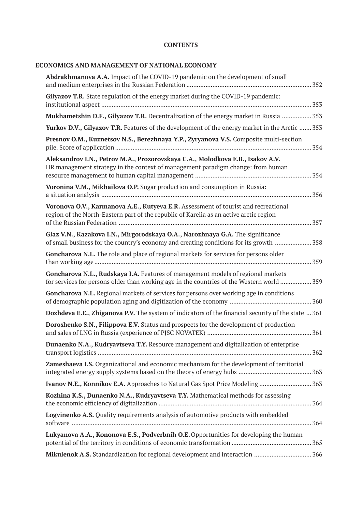# **CONTENTS**

# **ECONOMICS AND MANAGEMENT OF NATIONAL ECONOMY**

| Abdrakhmanova A.A. Impact of the COVID-19 pandemic on the development of small                                                                                                      |
|-------------------------------------------------------------------------------------------------------------------------------------------------------------------------------------|
| Gilyazov T.R. State regulation of the energy market during the COVID-19 pandemic:                                                                                                   |
| Mukhametshin D.F., Gilyazov T.R. Decentralization of the energy market in Russia  353                                                                                               |
| Yurkov D.V., Gilyazov T.R. Features of the development of the energy market in the Arctic  353                                                                                      |
| Presnov O.M., Kuznetsov N.S., Berezhnaya Y.P., Zyryanova V.S. Composite multi-section<br>354                                                                                        |
| Aleksandrov I.N., Petrov M.A., Prozorovskaya C.A., Molodkova E.B., Isakov A.V.<br>HR management strategy in the context of management paradigm change: from human                   |
| Voronina V.M., Mikhailova O.P. Sugar production and consumption in Russia:                                                                                                          |
| Voronova O.V., Karmanova A.E., Kutyeva E.R. Assessment of tourist and recreational<br>region of the North-Eastern part of the republic of Karelia as an active arctic region<br>357 |
| Glaz V.N., Kazakova I.N., Mirgorodskaya O.A., Narozhnaya G.A. The significance<br>of small business for the country's economy and creating conditions for its growth 358            |
| Goncharova N.L. The role and place of regional markets for services for persons older                                                                                               |
| Goncharova N.L., Rudskaya I.A. Features of management models of regional markets<br>for services for persons older than working age in the countries of the Western world  359      |
| Goncharova N.L. Regional markets of services for persons over working age in conditions                                                                                             |
| Dozhdeva E.E., Zhiganova P.V. The system of indicators of the financial security of the state  361                                                                                  |
| Doroshenko S.N., Filippova E.V. Status and prospects for the development of production                                                                                              |
| Dunaenko N.A., Kudryavtseva T.Y. Resource management and digitalization of enterprise                                                                                               |
| Zameshaeva I.S. Organizational and economic mechanism for the development of territorial                                                                                            |
|                                                                                                                                                                                     |
| Kozhina K.S., Dunaenko N.A., Kudryavtseva T.Y. Mathematical methods for assessing                                                                                                   |
| Logvinenko A.S. Quality requirements analysis of automotive products with embedded                                                                                                  |
| Lukyanova A.A., Kononova E.S., Podverbnih O.E. Opportunities for developing the human<br>365                                                                                        |
| Mikulenok A.S. Standardization for regional development and interaction  366                                                                                                        |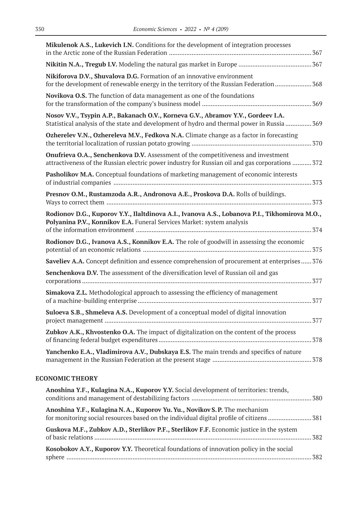| Mikulenok A.S., Lukevich I.N. Conditions for the development of integration processes                                                                                                       |  |
|---------------------------------------------------------------------------------------------------------------------------------------------------------------------------------------------|--|
|                                                                                                                                                                                             |  |
| Nikiforova D.V., Shuvalova D.G. Formation of an innovative environment<br>for the development of renewable energy in the territory of the Russian Federation 368                            |  |
| Novikova O.S. The function of data management as one of the foundations                                                                                                                     |  |
| Nosov V.V., Tsypin A.P., Bakanach O.V., Korneva G.V., Abramov Y.V., Gordeev I.A.<br>Statistical analysis of the state and development of hydro and thermal power in Russia  369             |  |
| Ozherelev V.N., Ozhereleva M.V., Fedkova N.A. Climate change as a factor in forecasting                                                                                                     |  |
| <b>Onufrieva O.A., Senchenkova D.V.</b> Assessment of the competitiveness and investment<br>attractiveness of the Russian electric power industry for Russian oil and gas corporations  372 |  |
| Pasholikov M.A. Conceptual foundations of marketing management of economic interests                                                                                                        |  |
| Presnov O.M., Rustamzoda A.R., Andronova A.E., Proskova D.A. Rolls of buildings.                                                                                                            |  |
| Rodionov D.G., Kuporov Y.Y., Ilaltdinova A.I., Ivanova A.S., Lobanova P.I., Tikhomirova M.O.,<br>Polyanina P.V., Konnikov E.A. Funeral Services Market: system analysis                     |  |
| Rodionov D.G., Ivanova A.S., Konnikov E.A. The role of goodwill in assessing the economic                                                                                                   |  |
| Saveliev A.A. Concept definition and essence comprehension of procurement at enterprises 376                                                                                                |  |
| Senchenkova D.V. The assessment of the diversification level of Russian oil and gas                                                                                                         |  |
| Simakova Z.L. Methodological approach to assessing the efficiency of management                                                                                                             |  |
| Suloeva S.B., Shmeleva A.S. Development of a conceptual model of digital innovation                                                                                                         |  |
| Zubkov A.K., Khvostenko O.A. The impact of digitalization on the content of the process                                                                                                     |  |
| Yanchenko E.A., Vladimirova A.V., Dubskaya E.S. The main trends and specifics of nature                                                                                                     |  |
| <b>ECONOMIC THEORY</b>                                                                                                                                                                      |  |
| Anoshina Y.F., Kulagina N.A., Kuporov Y.Y. Social development of territories: trends,                                                                                                       |  |
| Anoshina Y.F., Kulagina N.A., Kuporov Yu. Yu., Novikov S.P. The mechanism                                                                                                                   |  |
| Guskova M.F., Zubkov A.D., Sterlikov P.F., Sterlikov F.F. Economic justice in the system                                                                                                    |  |
| Kosobokov A.Y., Kuporov Y.Y. Theoretical foundations of innovation policy in the social                                                                                                     |  |

sphere ............................................................................................................................................. 382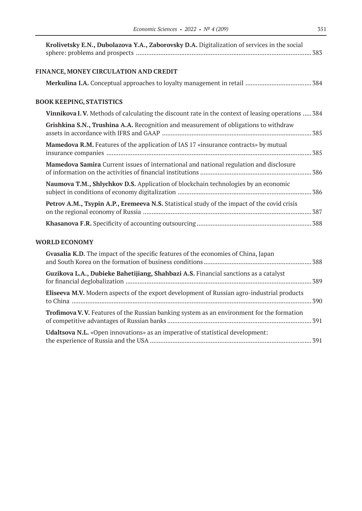| Krolivetsky E.N., Dubolazova Y.A., Zaborovsky D.A. Digitalization of services in the social       |  |
|---------------------------------------------------------------------------------------------------|--|
| FINANCE, MONEY CIRCULATION AND CREDIT                                                             |  |
|                                                                                                   |  |
| <b>BOOK KEEPING, STATISTICS</b>                                                                   |  |
| Vinnikova I.V. Methods of calculating the discount rate in the context of leasing operations  384 |  |
| Grishkina S.N., Trushina A.A. Recognition and measurement of obligations to withdraw              |  |
| <b>Mamedova R.M.</b> Features of the application of IAS 17 «insurance contracts» by mutual        |  |
| <b>Mamedova Samira</b> Current issues of international and national regulation and disclosure     |  |
| Naumova T.M., Shlychkov D.S. Application of blockchain technologies by an economic                |  |
| Petrov A.M., Tsypin A.P., Eremeeva N.S. Statistical study of the impact of the covid crisis       |  |
|                                                                                                   |  |
|                                                                                                   |  |

# **WORLD ECONOMY**

| Gvasalia K.D. The impact of the specific features of the economies of China, Japan                |  |
|---------------------------------------------------------------------------------------------------|--|
| Guzikova L.A., Dubieke Bahetijiang, Shahbazi A.S. Financial sanctions as a catalyst               |  |
| <b>Eliseeva M.V.</b> Modern aspects of the export development of Russian agro-industrial products |  |
| <b>Trofimova V.V.</b> Features of the Russian banking system as an environment for the formation  |  |
| <b>Udaltsova N.L.</b> «Open innovations» as an imperative of statistical development:             |  |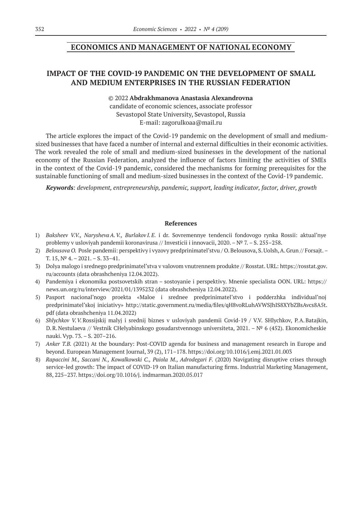# **ECONOMICS AND MANAGEMENT OF NATIONAL ECONOMY**

# **IMPACT OF THE COVID‑19 PANDEMIC ON THE DEVELOPMENT OF SMALL AND MEDIUM ENTERPRISES IN THE RUSSIAN FEDERATION**

#### © 2022 **Abdrakhmanova Аnastasia Аlexandrovna**

сandidate of economic sciences, associate professor Sevastopol State University, Sevastopol, Russia E-mail: zagorulkoaa@mail.ru

The article explores the impact of the Covid-19 pandemic on the development of small and mediumsized businesses that have faced a number of internal and external difficulties in their economic activities. The work revealed the role of small and medium-sized businesses in the development of the national economy of the Russian Federation, analyzed the influence of factors limiting the activities of SMEs in the context of the Covid-19 pandemic, considered the mechanisms for forming prerequisites for the sustainable functioning of small and medium-sized businesses in the context of the Covid-19 pandemic.

*Keywords: development, entrepreneurship, pandemic, support, leading indicator, factor, driver, growth*

- 1) *Baksheev V.V., NaryshevaA.V., Burlakov I.E.* i dr. Sovremennye tendencii fondovogo rynka Rossii: aktual'nye problemy v usloviyah pandemii koronavirusa // Investicii i innovacii, 2020. –№ 7. – S. 255–258.
- 2) *Belousova O.* Posle pandemii: perspektivy i vyzovy predprinimatel'stvu / O.Belousova, S.Uolsh, A.Grun // Forsajt.– T.  $15, N^2$  4. –  $2021.$  – S.  $33-41.$
- 3) Dolya malogo i srednego predprinimatel'stva v valovom vnutrennem produkte // Rosstat. URL: https://rosstat.gov. ru/accounts (data obrashcheniya 12.04.2022).
- 4) Pandemiya i ekonomika postsovetskih stran sostoyanie i perspektivy. Mnenie specialista OON. URL: https:// news.un.org/ru/interview/2021/01/1395232 (data obrashcheniya 12.04.2022).
- 5) Pasport nacional'nogo proekta «Maloe i srednee predprinimatel'stvo i podderzhka individual'noj predprinimatel'skoj iniciativy» http://static.government.ru/media/files/qH8voRLuhAVWSJhIS8XYbZBsAvcs8A5t. pdf (data obrashcheniya 11.04.2022)
- 6) *Shlychkov V.V.*Rossijskij malyj i srednij biznes v usloviyah pandemii Covid‑19 / V.V. SHlychkov, P.A.Batajkin, D.R.Nestulaeva // Vestnik CHelyabinskogo gosudarstvennogo universiteta, 2021. – № 6 (452). Ekonomicheskie nauki. Vyp. 73. – S. 207–216.
- 7) *Anker T.B.* (2021) At the boundary: Post-COVID agenda for business and management research in Europe and beyond. European Management Journal, 39 (2), 171–178. https://doi.org/10.1016/j.emj.2021.01.003
- 8) Rapaccini M., Saccani N., Kowalkowski C., Paiola M., Adrodegari F. (2020) Navigating disruptive crises through service-led growth: The impact of COVID-19 on Italian manufacturing firms. Industrial Marketing Management, 88, 225–237. https://doi.org/10.1016/j. indmarman.2020.05.017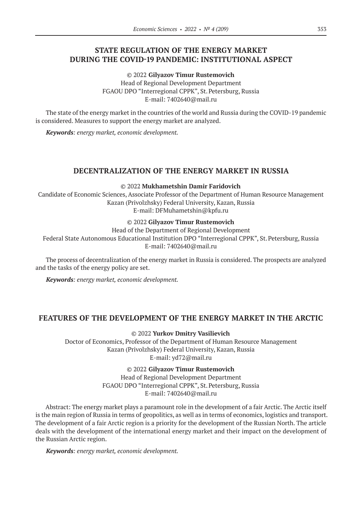# **STATE REGULATION OF THE ENERGY MARKET DURING THE COVID‑19 PANDEMIC: INSTITUTIONAL ASPECT**

© 2022 **Gilyazov Timur Rustemovich** Head of Regional Development Department FGAOU DPO "Interregional CPPK", St.Petersburg, Russia E-mail: 7402640@mail.ru

The state of the energy market in the countries of the world and Russia during the COVID-19 pandemic is considered. Measures to support the energy market are analyzed.

*Keywords: energy market, economic development.*

### **DECENTRALIZATION OF THE ENERGY MARKET IN RUSSIA**

© 2022 **Mukhametshin Damir Faridovich**

Candidate of Economic Sciences, Associate Professor of the Department of Human Resource Management Kazan (Privolzhsky) Federal University, Kazan, Russia E-mail: DFMuhametshin@kpfu.ru

© 2022 **Gilyazov Timur Rustemovich**

Head of the Department of Regional Development

Federal State Autonomous Educational Institution DPO "Interregional CPPK", St.Petersburg, Russia E-mail: 7402640@mail.ru

The process of decentralization of the energy market in Russia is considered. The prospects are analyzed and the tasks of the energy policy are set.

*Keywords: energy market, economic development.*

# **FEATURES OF THE DEVELOPMENT OF THE ENERGY MARKET IN THE ARCTIC**

© 2022 **Yurkov Dmitry Vasilievich**

Doctor of Economics, Professor of the Department of Human Resource Management Kazan (Privolzhsky) Federal University, Kazan, Russia E-mail: yd72@mail.ru

© 2022 **Gilyazov Timur Rustemovich**

Head of Regional Development Department FGAOU DPO "Interregional CPPK", St.Petersburg, Russia E-mail: 7402640@mail.ru

Abstract: The energy market plays a paramount role in the development of a fair Arctic. The Arctic itself is the main region of Russia in terms of geopolitics, as well as in terms of economics, logistics and transport. The development of a fair Arctic region is a priority for the development of the Russian North. The article deals with the development of the international energy market and their impact on the development of the Russian Arctic region.

*Keywords: energy market, economic development.*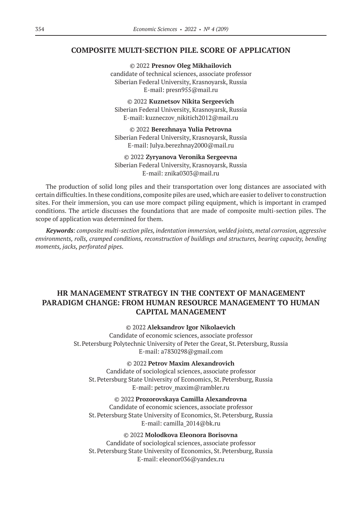### **COMPOSITE MULTI-SECTION PILE. SCORE OF APPLICATION**

© 2022 **Presnov Oleg Mikhailovich** candidate of technical sciences, associate professor Siberian Federal University, Krasnoyarsk, Russia E-mail: presn955@mail.ru

© 2022 **Kuznetsov Nikita Sergeevich** Siberian Federal University, Krasnoyarsk, Russia E-mail: kuzneczov\_nikitich2012@mail.ru

© 2022 **Berezhnaya Yulia Petrovna** Siberian Federal University, Krasnoyarsk, Russia E-mail: Julya.berezhnay2000@mail.ru

© 2022 **Zyryanova Veronika Sergeevna** Siberian Federal University, Krasnoyarsk, Russia E-mail: znika0303@mail.ru

The production of solid long piles and their transportation over long distances are associated with certain difficulties. In these conditions, composite piles are used, which are easier to deliver to construction sites. For their immersion, you can use more compact piling equipment, which is important in cramped conditions. The article discusses the foundations that are made of composite multi-section piles. The scope of application was determined for them.

*Keywords: composite multi-section piles, indentation immersion, welded joints, metal corrosion, aggressive environments, rolls, cramped conditions, reconstruction of buildings and structures, bearing capacity, bending moments, jacks, perforated pipes.*

# **HR MANAGEMENT STRATEGY IN THE CONTEXT OF MANAGEMENT PARADIGM CHANGE: FROM HUMAN RESOURCE MANAGEMENT TO HUMAN CAPITAL MANAGEMENT**

### © 2022 **Aleksandrov Igor Nikolaevich**

Candidate of economic sciences, associate professor St.Petersburg Polytechnic University of Peter the Great, St.Petersburg, Russia E-mail: a7830298@gmail.com

#### © 2022 **Petrov Maxim Alexandrovich**

Candidate of sociological sciences, associate professor St.Petersburg State University of Economics, St.Petersburg, Russia E-mail: petrov\_maxim@rambler.ru

© 2022 **Prozorovskaya Camilla Alexandrovna** Candidate of economic sciences, associate professor St.Petersburg State University of Economics, St.Petersburg, Russia E-mail: camilla\_2014@bk.ru

### © 2022 **Molodkova Eleonora Borisovna**

Candidate of sociological sciences, associate professor St.Petersburg State University of Economics, St.Petersburg, Russia E-mail: eleonor036@yandex.ru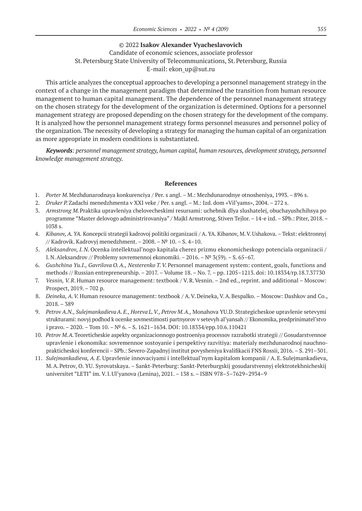### © 2022 **Isakov Alexander Vyacheslavovich**

# Candidate of economic sciences, associate professor St.Petersburg State University of Telecommunications, St.Petersburg, Russia E-mail: ekon\_up@sut.ru

This article analyzes the conceptual approaches to developing a personnel management strategy in the context of a change in the management paradigm that determined the transition from human resource management to human capital management. The dependence of the personnel management strategy on the chosen strategy for the development of the organization is determined. Options for a personnel management strategy are proposed depending on the chosen strategy for the development of the company. It is analyzed how the personnel management strategy forms personnel measures and personnel policy of the organization. The necessity of developing a strategy for managing the human capital of an organization as more appropriate in modern conditions is substantiated.

*Keywords: personnel management strategy, human capital, human resources, development strategy, personnel knowledge management strategy.*

- 1. *Porter M.*Mezhdunarodnaya konkurenciya / Per. s angl. M.: Mezhdunarodnye otnosheniya, 1993. 896 s.
- 2. *Druker P.*Zadachi menedzhmenta v XXI veke / Per. s angl. M.: Izd. dom «Vil'yams», 2004. 272 s.
- 3. *Armstrong M.*Praktika upravleniya chelovecheskimi resursami: uchebnik dlya slushatelej, obuchayushchihsya po programme "Master delovogo administrirovaniya" / Majkl Armstrong, Stiven Tejlor. – 14‑e izd. – SPb.: Piter, 2018. – 1038 s.
- 4. *Kibanov, A. YA.* Koncepcii strategii kadrovoj politiki organizacii / A. YA. Kibanov, M.V.Ushakova. Tekst: elektronnyj // Kadrovik. Kadrovyj menedzhment. – 2008. –№ 10. – S. 4–10.
- 5. *Aleksandrov, I. N.* Ocenka intellektual'nogo kapitala cherez prizmu ekonomicheskogo potenciala organizacii / I.N.Aleksandrov // Problemy sovremennoj ekonomiki. – 2016. –№ 3(59). – S. 65–67.
- 6. *Gushchina Yu.I., Gavrilova O.A., Nesterenko T.V.*Personnel management system: content, goals, functions and methods // Russian entrepreneurship. – 2017. – Volume 18. – No. 7. – pp. 1205–1213. doi: 10.18334/rp.18.7.37730
- 7. *Vesnin, V.R*.Human resource management: textbook / V.R.Vesnin. 2nd ed., reprint. and additional Moscow: Prospect, 2019. – 702 p.
- 8. *Deineka, A.V.* Human resource management: textbook / A.V.Deineka, V.A.Bespalko. Moscow: Dashkov and Co., 2018. – 389
- 9. *Petrov A.N., SulejmankadievaA.E., Horeva L.V., Petrov M.A.,* Monahova YU.D. Strategicheskoe upravlenie setevymi strukturami: novyj podhod k ocenke sovmestimosti partnyorov v setevyh al'yansah // Ekonomika, predprinimatel'stvo i pravo. – 2020. – Tom 10. –№ 6. – S. 1621–1634. DOI: 10.18334/epp.10.6.110421
- 10. *Petrov M.A.*Teoreticheskie aspekty organizacionnogo postroeniya processov razrabotki strategii // Gosudarstvennoe upravlenie i ekonomika: sovremennoe sostoyanie i perspektivy razvitiya: materialy mezhdunarodnoj nauchnoprakticheskoj konferencii – SPb.: Severo-Zapadnyj institut povysheniya kvalifikacii FNS Rossii, 2016. – S. 291–301.
- 11. *Sulejmankadieva, A. E.* Upravlenie innovaciyami i intellektual'nym kapitalom kompanii / A. E. Sulejmankadieva, M.A.Petrov, O. YU. Syrovatskaya. – Sankt-Peterburg: Sankt-Peterburgskij gosudarstvennyj elektrotekhnicheskij universitet "LETI" im. V.I.Ul'yanova (Lenina), 2021. – 138 s. – ISBN 978–5–7629–2934–9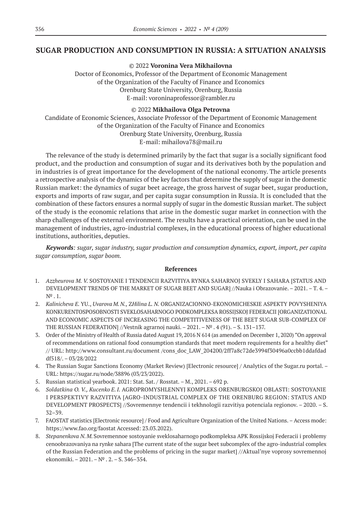## **SUGAR PRODUCTION AND CONSUMPTION IN RUSSIA: A SITUATION ANALYSIS**

© 2022 **Voronina Vera Mikhailovna**

Doctor of Economics, Professor of the Department of Economic Management of the Organization of the Faculty of Finance and Economics Orenburg State University, Orenburg, Russia E-mail: voroninaprofessor@rambler.ru

#### © 2022 **Mikhailova Olga Petrovna**

Candidate of Economic Sciences, Associate Professor of the Department of Economic Management of the Organization of the Faculty of Finance and Economics Orenburg State University, Orenburg, Russia E-mail: mihailova78@mail.ru

The relevance of the study is determined primarily by the fact that sugar is a socially significant food product, and the production and consumption of sugar and its derivatives both by the population and in industries is of great importance for the development of the national economy. The article presents a retrospective analysis of the dynamics of the key factors that determine the supply of sugar in the domestic Russian market: the dynamics of sugar beet acreage, the gross harvest of sugar beet, sugar production, exports and imports of raw sugar, and per capita sugar consumption in Russia. It is concluded that the combination of these factors ensures a normal supply of sugar in the domestic Russian market. The subject of the study is the economic relations that arise in the domestic sugar market in connection with the sharp challenges of the external environment. The results have a practical orientation, can be used in the management of industries, agro-industrial complexes, in the educational process of higher educational institutions, authorities, deputies.

*Keywords: sugar, sugar industry, sugar production and consumption dynamics, export, import, per capita sugar consumption, sugar boom.*

- 1. *Azzheurova M. V.* SOSTOYANIE I TENDENCII RAZVITIYA RYNKA SAHARNOJ SVEKLY I SAHARA [STATUS AND DEVELOPMENT TRENDS OF THE MARKET OF SUGAR BEET AND SUGAR] //Nauka i Obrazovanie. – 2021. – T. 4. –  $N^9$ . 1.
- 2. *Kalinicheva E.* YU., *Uvarova M.N.,* Z*Hilina L. N.* ORGANIZACIONNO-EKONOMICHESKIE ASPEKTY POVYSHENIYA KONKURENTOSPOSOBNOSTI SVEKLOSAHARNOGO PODKOMPLEKSA ROSSIJSKOJ FEDERACII [ORGANIZATIONAL AND ECONOMIC ASPECTS OF INCREASING THE COMPETITIVENESS OF THE BEET SUGAR SUB-COMPLEX OF THE RUSSIAN FEDERATION] //Vestnik agrarnoj nauki. – 2021. –№ . 4 (91). – S. 131–137.
- 3. Order of the Ministry of Health of Russia dated August 19, 2016 N 614 (as amended on December 1, 2020) "On approval of recommendations on rational food consumption standards that meet modern requirements for a healthy diet" // URL: http://www.consultant.ru/document /cons\_doc\_LAW\_204200/2ff7a8c72de3994f30496a0ccbb1ddafdad df518/. – 03/28/2022
- 4. The Russian Sugar Sanctions Economy (Market Review) [Electronic resource] / Analytics of the Sugar.ru portal. URL: https://sugar.ru/node/38896 (03/23/2022).
- 5. Russian statistical yearbook. 2021: Stat. Sat. / Rosstat. M., 2021. 692 p.
- 6. *Soldatkina O. V., Kucenko E.I.* AGROPROMYSHLENNYJ KOMPLEKS ORENBURGSKOJ OBLASTI: SOSTOYANIE I PERSPEKTIVY RAZVITIYA [AGRO-INDUSTRIAL COMPLEX OF THE ORENBURG REGION: STATUS AND DEVELOPMENT PROSPECTS] //Sovremennye tendencii i tekhnologii razvitiya potenciala regionov. – 2020. – S. 32–39.
- 7. FAOSTAT statistics [Electronic resource] / Food and Agriculture Organization of the United Nations.–Access mode: https://www.fao.org/faostat Accessed: 23.03.2022).
- 8. *Stepanenkova N.M.*Sovremennoe sostoyanie sveklosaharnogo podkompleksa APK Rossijskoj Federacii i problemy cenoobrazovaniya na rynke sahara [The current state of the sugar beet subcomplex of the agro-industrial complex of the Russian Federation and the problems of pricing in the sugar market] //Aktual'nye voprosy sovremennoj ekonomiki. – 2021. –№ . 2. – S. 346–354.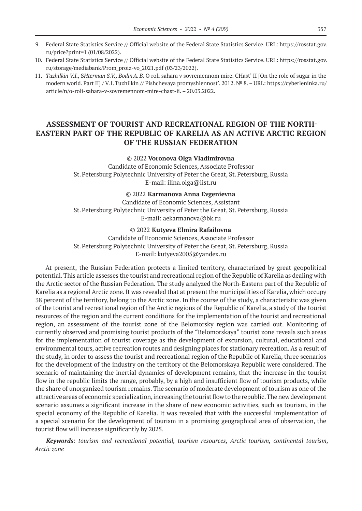- 9. Federal State Statistics Service // Official website of the Federal State Statistics Service. URL: https://rosstat.gov. ru/price?print=1 (01/08/2022).
- 10. Federal State Statistics Service // Official website of the Federal State Statistics Service. URL: https://rosstat.gov. ru/storage/mediabank/Prom\_proiz-vo\_2021.pdf (03/23/2022).
- 11. *Tuzhilkin V.I.,* S*Hterman S.V., BodinA.B.* O roli sahara v sovremennom mire. CHast' II [On the role of sugar in the modern world. Part II] / V.I.Tuzhilkin // Pishchevaya promyshlennost'. 2012. № 8. – URL: https://cyberleninka.ru/ article/n/o-roli-sahara-v-sovremennom-mire-chast-ii. – 20.03.2022.

# **ASSESSMENT OF TOURIST AND RECREATIONAL REGION OF THE NORTH-EASTERN PART OF THE REPUBLIC OF KARELIA AS AN ACTIVE ARCTIC REGION OF THE RUSSIAN FEDERATION**

### © 2022 **Voronova Olga Vladimirovna**

Candidate of Economic Sciences, Associate Professor St.Petersburg Polytechnic University of Peter the Great, St.Petersburg, Russia E-mail: ilina.olga@list.ru

#### © 2022 **Karmanova Anna Evgenievna**

Candidate of Economic Sciences, Assistant St.Petersburg Polytechnic University of Peter the Great, St.Petersburg, Russia E-mail: aekarmanova@bk.ru

#### © 2022 **Kutyeva Elmira Rafailovna**

Candidate of Economic Sciences, Associate Professor St.Petersburg Polytechnic University of Peter the Great, St.Petersburg, Russia E-mail: kutyeva2005@yandex.ru

At present, the Russian Federation protects a limited territory, characterized by great geopolitical potential. This article assesses the tourist and recreational region of the Republic of Karelia as dealing with the Arctic sector of the Russian Federation. The study analyzed the North-Eastern part of the Republic of Karelia as a regional Arctic zone. It was revealed that at present the municipalities of Karelia, which occupy 38 percent of the territory, belong to the Arctic zone. In the course of the study, a characteristic was given of the tourist and recreational region of the Arctic regions of the Republic of Karelia, a study of the tourist resources of the region and the current conditions for the implementation of the tourist and recreational region, an assessment of the tourist zone of the Belomorsky region was carried out. Monitoring of currently observed and promising tourist products of the "Belomorskaya" tourist zone reveals such areas for the implementation of tourist coverage as the development of excursion, cultural, educational and environmental tours, active recreation routes and designing places for stationary recreation. As a result of the study, in order to assess the tourist and recreational region of the Republic of Karelia, three scenarios for the development of the industry on the territory of the Belomorskaya Republic were considered. The scenario of maintaining the inertial dynamics of development remains, that the increase in the tourist flow in the republic limits the range, probably, by a high and insufficient flow of tourism products, while the share of unorganized tourism remains. The scenario of moderate development of tourism as one of the attractive areas of economic specialization, increasing the tourist flow to the republic. The new development scenario assumes a significant increase in the share of new economic activities, such as tourism, in the special economy of the Republic of Karelia. It was revealed that with the successful implementation of a special scenario for the development of tourism in a promising geographical area of observation, the tourist flow will increase significantly by 2025.

*Keywords: tourism and recreational potential, tourism resources, Arctic tourism, continental tourism, Arctic zone*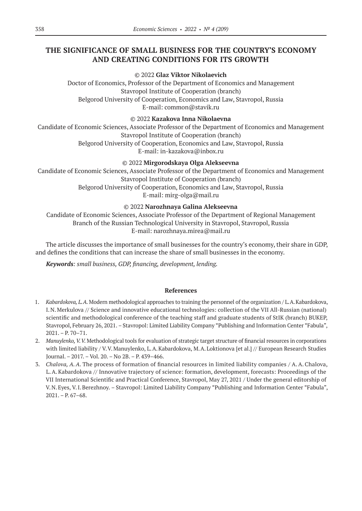# **THE SIGNIFICANCE OF SMALL BUSINESS FOR THE COUNTRY'S ECONOMY AND CREATING CONDITIONS FOR ITS GROWTH**

### © 2022 **Glaz Viktor Nikolaevich**

Doctor of Economics, Professor of the Department of Economics and Management Stavropol Institute of Cooperation (branch) Belgorod University of Cooperation, Economics and Law, Stavropol, Russia E-mail: common@stavik.ru

### © 2022 **Kazakova Inna Nikolaevna**

Candidate of Economic Sciences, Associate Professor of the Department of Economics and Management Stavropol Institute of Cooperation (branch) Belgorod University of Cooperation, Economics and Law, Stavropol, Russia E-mail: in-kazakova@inbox.ru

### © 2022 **Mirgorodskaya Olga Alekseevna**

Candidate of Economic Sciences, Associate Professor of the Department of Economics and Management Stavropol Institute of Cooperation (branch) Belgorod University of Cooperation, Economics and Law, Stavropol, Russia

E-mail: mirg-olga@mail.ru

### © 2022 **Narozhnaya Galina Alekseevna**

Candidate of Economic Sciences, Associate Professor of the Department of Regional Management Branch of the Russian Technological University in Stavropol, Stavropol, Russia Е-mail: narozhnaya.mirea@mail.ru

The article discusses the importance of small businesses for the country's economy, their share in GDP, and defines the conditions that can increase the share of small businesses in the economy.

*Keywords: small business, GDP, financing, development, lending.*

- 1. *Kabardokova, L.A.*Modern methodological approaches to training the personnel of the organization / L.A.Kabardokova, I.N.Merkulova // Science and innovative educational technologies: collection of the VII All-Russian (national) scientific and methodological conference of the teaching staff and graduate students of StIK (branch) BUKEP, Stavropol, February 26, 2021. – Stavropol: Limited Liability Company "Publishing and Information Center "Fabula", 2021. – P. 70–71.
- 2. *Manuylenko, V.V.*Methodological tools for evaluation of strategic target structure of financial resources in corporations with limited liability / V.V.Manuylenko, L.A.Kabardokova, M.A.Loktionova [et al.] // European Research Studies Journal. – 2017. – Vol. 20. – No 2B. – P. 439–466.
- 3. *Chalova, A.A.* The process of formation of financial resources in limited liability companies / A.A. Chalova, L.A.Kabardokova // Innovative trajectory of science: formation, development, forecasts: Proceedings of the VII International Scientific and Practical Conference, Stavropol, May 27, 2021 / Under the general editorship of V.N.Eyes, V.I.Berezhnoy. – Stavropol: Limited Liability Company "Publishing and Information Center "Fabula",  $2021. - P. 67 - 68.$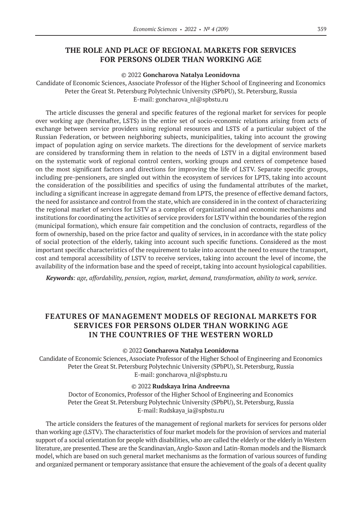# **THE ROLE AND PLACE OF REGIONAL MARKETS FOR SERVICES FOR PERSONS OLDER THAN WORKING AGE**

#### © 2022 **Goncharova Natalya Leonidovna**

Candidate of Economic Sciences, Associate Professor of the Higher School of Engineering and Economics Peter the Great St. Petersburg Polytechnic University (SPbPU), St. Petersburg, Russia E-mail: goncharova\_nl@spbstu.ru

The article discusses the general and specific features of the regional market for services for people over working age (hereinafter, LSTS) in the entire set of socio-economic relations arising from acts of exchange between service providers using regional resources and LSTS of a particular subject of the Russian Federation, or between neighboring subjects, municipalities, taking into account the growing impact of population aging on service markets. The directions for the development of service markets are considered by transforming them in relation to the needs of LSTV in a digital environment based on the systematic work of regional control centers, working groups and centers of competence based on the most significant factors and directions for improving the life of LSTV. Separate specific groups, including pre-pensioners, are singled out within the ecosystem of services for LPTS, taking into account the consideration of the possibilities and specifics of using the fundamental attributes of the market, including a significant increase in aggregate demand from LPTS, the presence of effective demand factors, the need for assistance and control from the state, which are considered in in the context of characterizing the regional market of services for LSTV as a complex of organizational and economic mechanisms and institutions for coordinating the activities of service providers for LSTV within the boundaries of the region (municipal formation), which ensure fair competition and the conclusion of contracts, regardless of the form of ownership, based on the price factor and quality of services, in in accordance with the state policy of social protection of the elderly, taking into account such specific functions. Considered as the most important specific characteristics of the requirement to take into account the need to ensure the transport, cost and temporal accessibility of LSTV to receive services, taking into account the level of income, the availability of the information base and the speed of receipt, taking into account hysiological capabilities.

*Keywords: age, affordability, pension, region, market, demand, transformation, ability to work, service.*

# **FEATURES OF MANAGEMENT MODELS OF REGIONAL MARKETS FOR SERVICES FOR PERSONS OLDER THAN WORKING AGE IN THE COUNTRIES OF THE WESTERN WORLD**

© 2022 **Goncharova Natalya Leonidovna**

Candidate of Economic Sciences, Associate Professor of the Higher School of Engineering and Economics Peter the Great St. Petersburg Polytechnic University (SPbPU), St. Petersburg, Russia E-mail: goncharova\_nl@spbstu.ru

© 2022 **Rudskaya Irina Andreevna**

Doctor of Economics, Professor of the Higher School of Engineering and Economics Peter the Great St. Petersburg Polytechnic University (SPbPU), St. Petersburg, Russia E-mail: Rudskaya\_ia@spbstu.ru

The article considers the features of the management of regional markets for services for persons older than working age (LSTV). The characteristics of four market models for the provision of services and material support of a social orientation for people with disabilities, who are called the elderly or the elderly in Western literature, are presented. These are the Scandinavian, Anglo-Saxon and Latin-Roman models and the Bismarck model, which are based on such general market mechanisms as the formation of various sources of funding and organized permanent or temporary assistance that ensure the achievement of the goals of a decent quality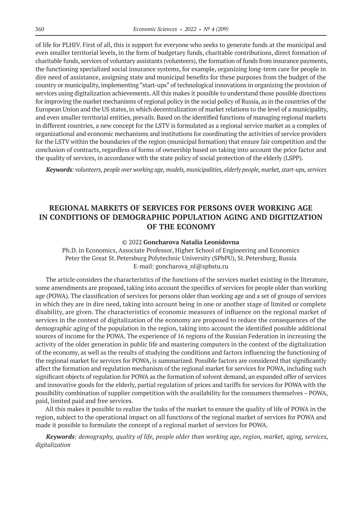of life for PLHIV. First of all, this is support for everyone who seeks to generate funds at the municipal and even smaller territorial levels, in the form of budgetary funds, charitable contributions, direct formation of charitable funds, services of voluntary assistants (volunteers), the formation of funds from insurance payments, the functioning specialized social insurance systems, for example, organizing long-term care for people in dire need of assistance, assigning state and municipal benefits for these purposes from the budget of the country or municipality, implementing "start-ups" of technological innovations in organizing the provision of services using digitalization achievements. All this makes it possible to understand those possible directions for improving the market mechanisms of regional policy in the social policy of Russia, as in the countries of the European Union and the US states, in which decentralization of market relations to the level of a municipality, and even smaller territorial entities, prevails. Based on the identified functions of managing regional markets in different countries, a new concept for the LSTV is formulated as a regional service market as a complex of organizational and economic mechanisms and institutions for coordinating the activities of service providers for the LSTV within the boundaries of the region (municipal formation) that ensure fair competition and the conclusion of contracts, regardless of forms of ownership based on taking into account the price factor and the quality of services, in accordance with the state policy of social protection of the elderly (LSPP).

*Keywords: volunteers, people over working age, models, municipalities, elderly people, market, start-ups, services*

# **REGIONAL MARKETS OF SERVICES FOR PERSONS OVER WORKING AGE IN CONDITIONS OF DEMOGRAPHIC POPULATION AGING AND DIGITIZATION OF THE ECONOMY**

### © 2022 **Goncharova Natalia Leonidovna**

Ph.D. in Economics, Associate Professor, Higher School of Engineering and Economics Peter the Great St. Petersburg Polytechnic University (SPbPU), St. Petersburg, Russia E-mail: goncharova\_nl@spbstu.ru

The article considers the characteristics of the functions of the services market existing in the literature, some amendments are proposed, taking into account the specifics of services for people older than working age (POWA). The classification of services for persons older than working age and a set of groups of services in which they are in dire need, taking into account being in one or another stage of limited or complete disability, are given. The characteristics of economic measures of influence on the regional market of services in the context of digitalization of the economy are proposed to reduce the consequences of the demographic aging of the population in the region, taking into account the identified possible additional sources of income for the POWA. The experience of 16 regions of the Russian Federation in increasing the activity of the older generation in public life and mastering computers in the context of the digitalization of the economy, as well as the results of studying the conditions and factors influencing the functioning of the regional market for services for POWA, is summarized. Possible factors are considered that significantly affect the formation and regulation mechanism of the regional market for services for POWA, including such significant objects of regulation for POWA as the formation of solvent demand, an expanded offer of services and innovative goods for the elderly, partial regulation of prices and tariffs for services for POWA with the possibility combination of supplier competition with the availability for the consumers themselves – POWA, paid, limited paid and free services.

All this makes it possible to realize the tasks of the market to ensure the quality of life of POWA in the region, subject to the operational impact on all functions of the regional market of services for POWA and made it possible to formulate the concept of a regional market of services for POWA.

*Keywords: demography, quality of life, people older than working age, region, market, aging, services, digitalization*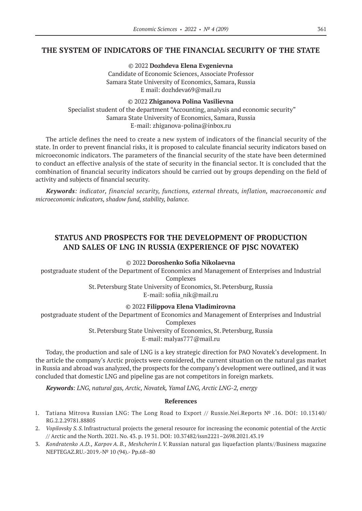# **THE SYSTEM OF INDICATORS OF THE FINANCIAL SECURITY OF THE STATE**

© 2022 **Dozhdeva Elena Evgenievna** Candidate of Economic Sciences, Associate Professor Samara State University of Economics, Samara, Russia E mail: dozhdeva69@mail.ru

© 2022 **Zhiganova Polina Vasilievna** Specialist student of the department "Accounting, analysis and economic security" Samara State University of Economics, Samara, Russia E-mail: zhiganova-polina@inbox.ru

The article defines the need to create a new system of indicators of the financial security of the state. In order to prevent financial risks, it is proposed to calculate financial security indicators based on microeconomic indicators. The parameters of the financial security of the state have been determined to conduct an effective analysis of the state of security in the financial sector. It is concluded that the combination of financial security indicators should be carried out by groups depending on the field of activity and subjects of financial security.

*Keywords: indicator, financial security, functions, external threats, inflation, macroeconomic and microeconomic indicators, shadow fund, stability, balance.*

# **STATUS AND PROSPECTS FOR THE DEVELOPMENT OF PRODUCTION AND SALES OF LNG IN RUSSIA (EXPERIENCE OF PJSC NOVATEK)**

© 2022 **Doroshenko Sofia Nikolaevna**

postgraduate student of the Department of Economics and Management of Enterprises and Industrial Complexes

St.Petersburg State University of Economics, St.Petersburg, Russia

E-mail: sofiia\_nik@mail.ru

© 2022 **Filippova Elena Vladimirovna**

postgraduate student of the Department of Economics and Management of Enterprises and Industrial

Complexes

St.Petersburg State University of Economics, St.Petersburg, Russia

E-mail: malyas777@mail.ru

Today, the production and sale of LNG is a key strategic direction for PAO Novatek's development. In the article the company's Arctic projects were considered, the current situation on the natural gas market in Russia and abroad was analyzed, the prospects for the company's development were outlined, and it was concluded that domestic LNG and pipeline gas are not competitors in foreign markets.

*Keywords: LNG, natural gas, Arctic, Novatek, Yamal LNG, Arctic LNG‑2, energy*

- 1. Tatiana Mitrova Russian LNG: The Long Road to Export // Russie.Nei.Reports № .16. DOI: 10.13140/ RG.2.2.29781.88805
- 2. *Vopilovsky S. S.*Infrastructural projects the general resource for increasing the economic potential of the Arctic // Arctic and the North. 2021. No. 43. p. 19 31. DOI: 10.37482/issn2221–2698.2021.43.19
- 3. *Kondratenko A.D., Karpov A. B., Meshcherin I.V.* Russian natural gas liquefaction plants//Business magazine NEFTEGAZ.RU.-2019.-№ 10 (94).- Pp.68–80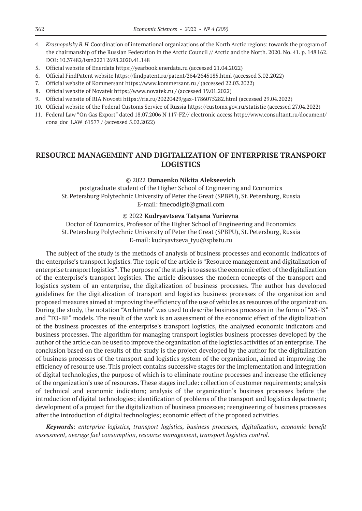- 4. *Krasnopolsky B.H.*Coordination of international organizations of the North Arctic regions: towards the program of the chairmanship of the Russian Federation in the Arctic Council // Arctic and the North. 2020. No. 41. p. 148162. DOI: 10.37482/issn22212698.2020.41.148
- 5. Official website of Enerdata https://yearbook.enerdata.ru (accessed 21.04.2022)
- 6. Official FindPatent website https://findpatent.ru/patent/264/2645185.html (accessed 3.02.2022)
- 7. Official website of Kommersant https://www.kommersant.ru / (accessed 22.03.2022)
- 8. Official website of Novatek https://www.novatek.ru / (accessed 19.01.2022)
- 9. Official website of RIA Novosti https://ria.ru/20220429/gaz‑1786075282.html (accessed 29.04.2022)
- 10. Official website of the Federal Customs Service of Russia https://customs.gov.ru/statistic (accessed 27.04.2022)
- 11. Federal Law "On Gas Export" dated 18.07.2006 N 117-FZ// electronic access http://www.consultant.ru/document/ cons\_doc\_LAW\_61577 / (accessed 5.02.2022)

# **RESOURCE MANAGEMENT AND DIGITALIZATION OF ENTERPRISE TRANSPORT LOGISTICS**

### © 2022 **Dunaenko Nikita Alekseevich**

postgraduate student of the Higher School of Engineering and Economics St.Petersburg Polytechnic University of Peter the Great (SPBPU), St.Petersburg, Russia E-mail: finecodigit@gmail.com

### © 2022 **Kudryavtseva Tatyana Yurievna**

Doctor of Economics, Professor of the Higher School of Engineering and Economics St. Petersburg Polytechnic University of Peter the Great (SPBPU), St. Petersburg, Russia E-mail: kudryavtseva\_tyu@spbstu.ru

The subject of the study is the methods of analysis of business processes and economic indicators of the enterprise's transport logistics. The topic of the article is "Resource management and digitalization of enterprise transport logistics". The purpose of the study is to assess the economic effect of the digitalization of the enterprise's transport logistics. The article discusses the modern concepts of the transport and logistics system of an enterprise, the digitalization of business processes. The author has developed guidelines for the digitalization of transport and logistics business processes of the organization and proposed measures aimed at improving the efficiency of the use of vehicles as resources of the organization. During the study, the notation "Archimate" was used to describe business processes in the form of "AS-IS" and "TO-BE" models. The result of the work is an assessment of the economic effect of the digitalization of the business processes of the enterprise's transport logistics, the analyzed economic indicators and business processes. The algorithm for managing transport logistics business processes developed by the author of the article can be used to improve the organization of the logistics activities of an enterprise. The conclusion based on the results of the study is the project developed by the author for the digitalization of business processes of the transport and logistics system of the organization, aimed at improving the efficiency of resource use. This project contains successive stages for the implementation and integration of digital technologies, the purpose of which is to eliminate routine processes and increase the efficiency of the organization's use of resources. These stages include: collection of customer requirements; analysis of technical and economic indicators; analysis of the organization's business processes before the introduction of digital technologies; identification of problems of the transport and logistics department; development of a project for the digitalization of business processes; reengineering of business processes after the introduction of digital technologies; economic effect of the proposed activities.

*Keywords: enterprise logistics, transport logistics, business processes, digitalization, economic benefit assessment, average fuel consumption, resource management, transport logistics control.*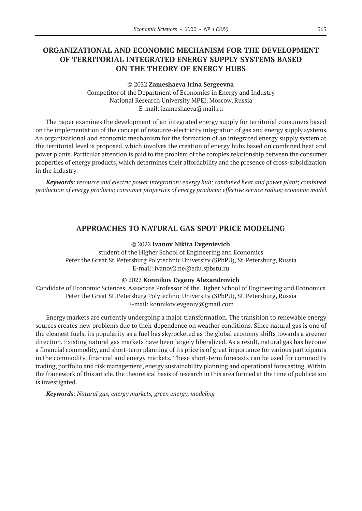# **ORGANIZATIONAL AND ECONOMIC MECHANISM FOR THE DEVELOPMENT OF TERRITORIAL INTEGRATED ENERGY SUPPLY SYSTEMS BASED ON THE THEORY OF ENERGY HUBS**

#### © 2022 **Zameshaeva Irina Sergeevna**

Competitor of the Department of Economics in Energy and Industry National Research University MPEI, Moscow, Russia E-mail: izameshaeva@mail.ru

The paper examines the development of an integrated energy supply for territorial consumers based on the implementation of the concept of resource-electricity integration of gas and energy supply systems. An organizational and economic mechanism for the formation of an integrated energy supply system at the territorial level is proposed, which involves the creation of energy hubs based on combined heat and power plants. Particular attention is paid to the problem of the complex relationship between the consumer properties of energy products, which determines their affordability and the presence of cross-subsidization in the industry.

*Keywords: resource and electric power integration; energy hub; combined heat and power plant; combined production of energy products; consumer properties of energy products; effective service radius; economic model.*

## **APPROACHES TO NATURAL GAS SPOT PRICE MODELING**

© 2022 **Ivanov Nikita Evgenievich**

student of the Higher School of Engineering and Economics Peter the Great St. Petersburg Polytechnic University (SPbPU), St. Petersburg, Russia E-mail: ivanov2.ne@edu.spbstu.ru

#### © 2022 **Konnikov Evgeny Alexandrovich**

Candidate of Economic Sciences, Associate Professor of the Higher School of Engineering and Economics Peter the Great St. Petersburg Polytechnic University (SPbPU), St. Petersburg, Russia E-mail: konnikov.evgeniy@gmail.com

Energy markets are currently undergoing a major transformation. The transition to renewable energy sources creates new problems due to their dependence on weather conditions. Since natural gas is one of the cleanest fuels, its popularity as a fuel has skyrocketed as the global economy shifts towards a greener direction. Existing natural gas markets have been largely liberalized. As a result, natural gas has become a financial commodity, and short-term planning of its price is of great importance for various participants in the commodity, financial and energy markets. These short-term forecasts can be used for commodity trading, portfolio and risk management, energy sustainability planning and operational forecasting. Within the framework of this article, the theoretical basis of research in this area formed at the time of publication is investigated.

*Keywords: Natural gas, energy markets, green energy, modeling*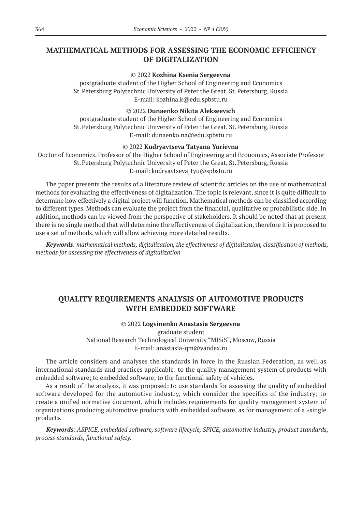# **MATHEMATICAL METHODS FOR ASSESSING THE ECONOMIC EFFICIENCY OF DIGITALIZATION**

### © 2022 **Kozhina Ksenia Sergeevna**

postgraduate student of the Higher School of Engineering and Economics St.Petersburg Polytechnic University of Peter the Great, St.Petersburg, Russia E-mail: kozhina.k@edu.spbstu.ru

### © 2022 **Dunaenko Nikita Alekseevich**

postgraduate student of the Higher School of Engineering and Economics St.Petersburg Polytechnic University of Peter the Great, St.Petersburg, Russia E-mail: dunaenko.na@edu.spbstu.ru

### © 2022 **Kudryavtseva Tatyana Yurievna**

Doctor of Economics, Professor of the Higher School of Engineering and Economics, Associate Professor St.Petersburg Polytechnic University of Peter the Great, St.Petersburg, Russia E-mail: kudryavtseva\_tyu@spbstu.ru

The paper presents the results of a literature review of scientific articles on the use of mathematical methods for evaluating the effectiveness of digitalization. The topic is relevant, since it is quite difficult to determine how effectively a digital project will function. Mathematical methods can be classified according to different types. Methods can evaluate the project from the financial, qualitative or probabilistic side. In addition, methods can be viewed from the perspective of stakeholders. It should be noted that at present there is no single method that will determine the effectiveness of digitalization, therefore it is proposed to use a set of methods, which will allow achieving more detailed results.

*Keywords: mathematical methods, digitalization, the effectiveness of digitalization, classification of methods, methods for assessing the effectiveness of digitalization*

# **QUALITY REQUIREMENTS ANALYSIS OF AUTOMOTIVE PRODUCTS WITH EMBEDDED SOFTWARE**

### © 2022 **Logvinenko Anastasia Sergeevna**

graduate student National Research Technological University "MISiS", Moscow, Russia E-mail: anastasia-qm@yandex.ru

The article considers and analyses the standards in force in the Russian Federation, as well as international standards and practices applicable: to the quality management system of products with embedded software; to embedded software; to the functional safety of vehicles.

As a result of the analysis, it was proposed: to use standards for assessing the quality of embedded software developed for the automotive industry, which consider the specifics of the industry; to create a unified normative document, which includes requirements for quality management system of organizations producing automotive products with embedded software, as for management of a «single product».

*Keywords: ASPICE, embedded software, software lifecycle, SPICE, automotive industry, product standards, process standards, functional safety.*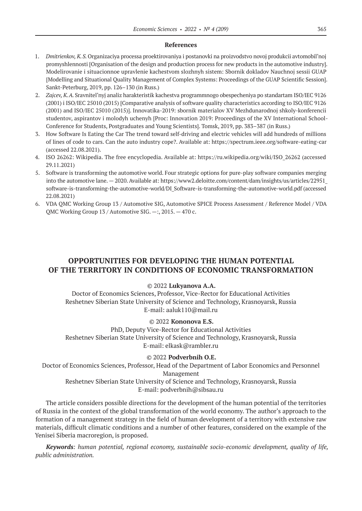#### **References**

- 1. *Dmitrienkov, K.S.*Organizaciya processa proektirovaniya i postanovki na proizvodstvo novoj produkcii avtomobil'noj promyshlennosti [Organisation of the design and production process for new products in the automotive industry]. Modelirovanie i situacionnoe upravlenie kachestvom slozhnyh sistem: Sbornik dokladov Nauchnoj sessii GUAP [Modelling and Situational Quality Management of Complex Systems: Proceedings of the GUAP Scientific Session]. Sankt-Peterburg, 2019, pp. 126–130 (in Russ.)
- 2. *Zajcev, K.A.* Sravnitel'nyj analiz harakteristik kachestva programmnogo obespecheniya po standartam ISO/IEC 9126 (2001) i ISO/IEC 25010 (2015) [Comparative analysis of software quality characteristics according to ISO/IEC 9126 (2001) and ISO/IEC 25010 (2015)]. Innovatika‑2019: sbornik materialov XV Mezhdunarodnoj shkoly-konferencii studentov, aspirantov i molodyh uchenyh [Proc: Innovation 2019: Proceedings of the XV International School-Conference for Students, Postgraduates and Young Scientists]. Tomsk, 2019, pp. 383–387 (in Russ.)
- 3. How Software Is Eating the Car The trend toward self-driving and electric vehicles will add hundreds of millions of lines of code to cars. Can the auto industry cope?. Available at: https://spectrum.ieee.org/software-eating-car (accessed 22.08.2021).
- 4. ISO 26262: Wikipedia. The free encyclopedia. Available at: https://ru.wikipedia.org/wiki/ISO\_26262 (accessed 29.11.2021)
- 5. Software is transforming the automotive world. Four strategic options for pure-play software companies merging into the automotive lane. — 2020. Available at: https://www2.deloitte.com/content/dam/insights/us/articles/22951\_ software-is-transforming-the-automotive-world/DI\_Software-is-transforming-the-automotive-world.pdf (accessed 22.08.2021)
- 6. VDA QMC Working Group 13 / Automotive SIG, Automotive SPICE Process Assessment / Reference Model / VDA QMC Working Group 13 / Automotive SIG. —:, 2015. — 470 с.

# **OPPORTUNITIES FOR DEVELOPING THE HUMAN POTENTIAL OF THE TERRITORY IN CONDITIONS OF ECONOMIC TRANSFORMATION**

#### © 2022 **Lukyanova A.A.**

Doctor of Economics Sciences, Professor, Vice-Rector for Educational Activities Reshetnev Siberian State University of Science and Technology, Krasnoyarsk, Russia E-mail: aaluk110@mail.ru

### © 2022 **Kononova E.S.**

PhD, Deputy Vice-Rector for Educational Activities Reshetnev Siberian State University of Science and Technology, Krasnoyarsk, Russia Е-mail: elkask@rambler.ru

#### © 2022 **Podverbnih O.E.**

Doctor of Economics Sciences, Professor, Head of the Department of Labor Economics and Personnel Management

# Reshetnev Siberian State University of Science and Technology, Krasnoyarsk, Russia Е-mail: podverbnih@sibsau.ru

The article considers possible directions for the development of the human potential of the territories of Russia in the context of the global transformation of the world economy. The author's approach to the formation of a management strategy in the field of human development of a territory with extensive raw materials, difficult climatic conditions and a number of other features, considered on the example of the Yenisei Siberia macroregion, is proposed.

*Keywords: human potential, regional economy, sustainable socio-economic development, quality of life, public administration.*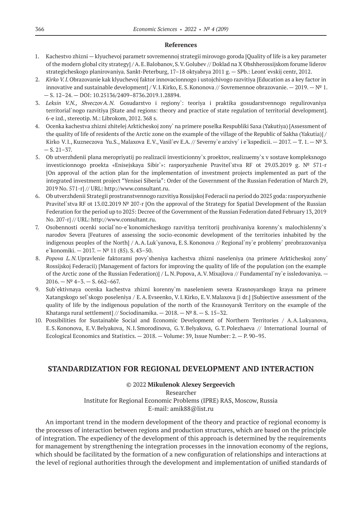#### **References**

- 1. Kachestvo zhizni klyuchevoj parametr sovremennoj strategii mirovogo goroda [Quality of life is a key parameter of the modern global city strategy] / A.E.Balobanov, S.V.Golubev // Doklad na X Obshherossijskom forume liderov strategicheskogo planirovaniya. Sankt-Peterburg, 17–18 oktyabrya 2011 g. — SPb.: Leont`evskij centr, 2012.
- 2. *Kirko V.I.*Obrazovanie kak klyuchevoj faktor innovacionnogo i ustojchivogo razvitiya [Education as a key factor in innovative and sustainable development] / V.I.Kirko, E.S. Kononova // Sovremennoe obrazovanie. — 2019. —  $N^{\circ}$  1. — S. 12–24. — DOI: 10.25136/2409–8736.2019.1.28894.
- 3. *Leksin V.N., ShveczovA.N.* Gosudarstvo i regiony`: teoriya i praktika gosudarstvennogo regulirovaniya territorial`nogo razvitiya [State and regions: theory and practice of state regulation of territorial development]. 6‑e izd., stereotip. M.: Librokom, 2012. 368 s.
- 4. Ocenka kachestva zhizni zhitelej Arkticheskoj zony` na primere poselka Respubliki Saxa (Yakutiya) [Assessment of the quality of life of residents of the Arctic zone on the example of the village of the Republic of Sakha (Yakutia)] / Kirko V.I., Kuzneczova Yu.S., Malaxova E.V., Vasil`ev E.A. // Severny`e arxivy` i e`kspedicii. — 2017. — T. 1. — № 3.  $-$  S. 21–37.
- 5. Ob utverzhdenii plana meropriyatij po realizacii investicionny`x proektov, realizuemy`x v sostave kompleksnogo investicionnogo proekta «Enisejskaya Sibir`»: rasporyazhenie Pravitel`stva RF ot 29.03.2019 g. № 571‑r [On approval of the action plan for the implementation of investment projects implemented as part of the integrated investment project "Yenisei Siberia": Order of the Government of the Russian Federation of March 29, 2019 No. 571‑r] // URL: http://www.consultant.ru.
- 6. Ob utverzhdenii Strategii prostranstvennogo razvitiya Rossijskoj Federacii na period do 2025 goda: rasporyazhenie Pravitel`stva RF ot 13.02.2019 № 207‑r [On the approval of the Strategy for Spatial Development of the Russian Federation for the period up to 2025: Decree of the Government of the Russian Federation dated February 13, 2019 No. 207‑r] // URL: http://www.consultant.ru.
- 7. Osobennosti ocenki social`no-e`konomicheskogo razvitiya territorij prozhivaniya korenny`x malochislenny`x narodov Severa [Features of assessing the socio-economic development of the territories inhabited by the indigenous peoples of the North] / A.A.Luk`yanova, E.S.Kononova // Regional`ny`e problemy` preobrazovaniya e`konomiki. — 2017. — № 11 (85). S. 43–50.
- 8. *Popova L.N.*Upravlenie faktorami povy`sheniya kachestva zhizni naseleniya (na primere Arkticheskoj zony` Rossijskoj Federacii) [Management of factors for improving the quality of life of the population (on the example of the Arctic zone of the Russian Federation)] / L.N.Popova, A.V.Mixajlova // Fundamental`ny`e issledovaniya. —  $2016. - N^{2}$  4-3. - S. 662-667.
- 9. Sub`ektivnaya ocenka kachestva zhizni korenny`m naseleniem severa Krasnoyarskogo kraya na primere Xatangskogo sel`skogo poseleniya / E.A.Evseenko, V.I.Kirko, E.V.Malaxova [i dr.] [Subjective assessment of the quality of life by the indigenous population of the north of the Krasnoyarsk Territory on the example of the Khatanga rural settlement] // Sociodinamika.  $-2018$ .  $-N<sup>°</sup> 8$ .  $- S$ . 15–32.
- 10. Possibilities for Sustainable Social and Economic Development of Northern Territories / A.A.Lukyanova, E.S.Kononova, E.V.Belyakova, N.I.Smorodinova, G.Y.Belyakova, G.T.Polezhaeva // International Journal of Ecological Economics and Statistics. — 2018. — Volume: 39, Issue Number: 2. — P. 90–95.

# **STANDARDIZATION FOR REGIONAL DEVELOPMENT AND INTERACTION**

© 2022 **Mikulenok Alexey Sergeevich** Researcher Institute for Regional Economic Problems (IPRE) RAS, Moscow, Russia E-mail: amik88@list.ru

An important trend in the modern development of the theory and practice of regional economy is the processes of interaction between regions and production structures, which are based on the principle of integration. The expediency of the development of this approach is determined by the requirements for management by strengthening the integration processes in the innovation economy of the regions, which should be facilitated by the formation of a new configuration of relationships and interactions at the level of regional authorities through the development and implementation of unified standards of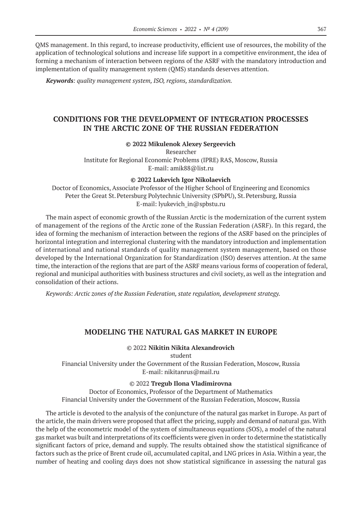QMS management. In this regard, to increase productivity, efficient use of resources, the mobility of the application of technological solutions and increase life support in a competitive environment, the idea of forming a mechanism of interaction between regions of the ASRF with the mandatory introduction and implementation of quality management system (QMS) standards deserves attention.

*Keywords: quality management system, ISO, regions, standardization.*

# **CONDITIONS FOR THE DEVELOPMENT OF INTEGRATION PROCESSES IN THE ARCTIC ZONE OF THE RUSSIAN FEDERATION**

#### **© 2022 Mikulenok Alexey Sergeevich**

Researcher Institute for Regional Economic Problems (IPRE) RAS, Moscow, Russia E-mail: amik88@list.ru

#### **© 2022 Lukevich Igor Nikolaevich**

Doctor of Economics, Associate Professor of the Higher School of Engineering and Economics Peter the Great St. Petersburg Polytechnic University (SPbPU), St. Petersburg, Russia E-mail: lyukevich\_in@spbstu.ru

The main aspect of economic growth of the Russian Arctic is the modernization of the current system of management of the regions of the Arctic zone of the Russian Federation (ASRF). In this regard, the idea of forming the mechanism of interaction between the regions of the ASRF based on the principles of horizontal integration and interregional clustering with the mandatory introduction and implementation of international and national standards of quality management system management, based on those developed by the International Organization for Standardization (ISO) deserves attention. At the same time, the interaction of the regions that are part of the ASRF means various forms of cooperation of federal, regional and municipal authorities with business structures and civil society, as well as the integration and consolidation of their actions.

*Keywords: Arctic zones of the Russian Federation, state regulation, development strategy.*

# **MODELING THE NATURAL GAS MARKET IN EUROPE**

### © 2022 **Nikitin Nikita Alexandrovich**

student Financial University under the Government of the Russian Federation, Moscow, Russia E-mail: nikitanrus@mail.ru

#### © 2022 **Tregub Ilona Vladimirovna**

Doctor of Economics, Professor of the Department of Mathematics Financial University under the Government of the Russian Federation, Moscow, Russia

The article is devoted to the analysis of the conjuncture of the natural gas market in Europe. As part of the article, the main drivers were proposed that affect the pricing, supply and demand of natural gas. With the help of the econometric model of the system of simultaneous equations (SOS), a model of the natural gas market was built and interpretations of its coefficients were given in order to determine the statistically significant factors of price, demand and supply. The results obtained show the statistical significance of factors such as the price of Brent crude oil, accumulated capital, and LNG prices in Asia. Within a year, the number of heating and cooling days does not show statistical significance in assessing the natural gas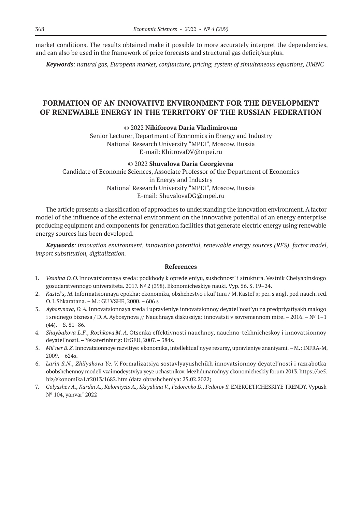market conditions. The results obtained make it possible to more accurately interpret the dependencies, and can also be used in the framework of price forecasts and structural gas deficit/surplus.

*Keywords: natural gas, European market, conjuncture, pricing, system of simultaneous equations, DMNC*

# **FORMATION OF AN INNOVATIVE ENVIRONMENT FOR THE DEVELOPMENT OF RENEWABLE ENERGY IN THE TERRITORY OF THE RUSSIAN FEDERATION**

© 2022 **Nikiforova Daria Vladimirovna**

Senior Lecturer, Department of Economics in Energy and Industry National Research University "MPEI", Moscow, Russia E-mail: KhitrovaDV@mpei.ru

#### © 2022 **Shuvalova Daria Georgievna**

Candidate of Economic Sciences, Associate Professor of the Department of Economics in Energy and Industry National Research University "MPEI", Moscow, Russia E-mail: ShuvalovaDG@mpei.ru

The article presents a classification of approaches to understanding the innovation environment. A factor model of the influence of the external environment on the innovative potential of an energy enterprise producing equipment and components for generation facilities that generate electric energy using renewable energy sources has been developed.

*Keywords: innovation environment, innovation potential, renewable energy sources (RES), factor model, import substitution, digitalization.*

- 1. *Vesnina O.O.*Innovatsionnaya sreda: podkhody k opredeleniyu, sushchnost' i struktura. Vestnik Chelyabinskogo gosudarstvennogo universiteta. 2017. № 2 (398). Ekonomicheskiye nauki. Vyp. 56. S. 19–24.
- 2. *Kastel's, M*.Informatsionnaya epokha: ekonomika, obshchestvo i kul'tura / M.Kastel's; per. s angl. pod nauch. red. O.I.Shkaratana. – M.: GU VSHE, 2000. – 606 s
- 3. *Aybosynova, D.A.*Innovatsionnaya sreda i upravleniye innovatsionnoy deyatel'nost'yu na predpriyatiyakh malogo i srednego biznesa / D.A.Aybosynova // Nauchnaya diskussiya: innovatsii v sovremennom mire. – 2016. – № 1–1  $(44)$ . – S. 81–86.
- 4. *Shaybakova L.F., Rozhkova M.A.* Otsenka effektivnosti nauchnoy, nauchno-tekhnicheskoy i innovatsionnoy deyatel'nosti. – Yekaterinburg: UrGEU, 2007. – 384s.
- 5. *Mil'ner B.Z.*Innovatsionnoye razvitiye: ekonomika, intellektual'nyye resursy, upravleniye znaniyami.– M.: INFRA-M, 2009. – 624s.
- 6. *Larin S.N., Zhilyakova Ye.V.* Formalizatsiya sostavlyayushchikh innovatsionnoy deyatel'nosti i razrabotka obobshchennoy modeli vzaimodeystviya yeye uchastnikov. Mezhdunarodnyy ekonomicheskiy forum 2013. https://be5. biz/ekonomika1/r2013/1682.htm (data obrashcheniya: 25.02.2022)
- 7. Golyashev A., Kurdin A., Kolomiyets A., Skryabina V., Fedorenko D., Fedorov S. ENERGETICHESKIYE TRENDY. Vypusk № 104, yanvar' 2022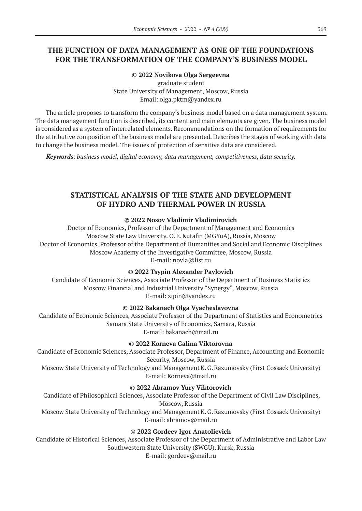# **THE FUNCTION OF DATA MANAGEMENT AS ONE OF THE FOUNDATIONS FOR THE TRANSFORMATION OF THE COMPANY'S BUSINESS MODEL**

### **© 2022 Novikova Olga Sergeevna** graduate student State University of Management, Moscow, Russia Email: olga.pktm@yandex.ru

The article proposes to transform the company's business model based on a data management system. The data management function is described, its content and main elements are given. The business model is considered as a system of interrelated elements. Recommendations on the formation of requirements for the attributive composition of the business model are presented. Describes the stages of working with data to change the business model. The issues of protection of sensitive data are considered.

*Keywords: business model, digital economy, data management, competitiveness, data security.*

# **STATISTICAL ANALYSIS OF THE STATE AND DEVELOPMENT OF HYDRO AND THERMAL POWER IN RUSSIA**

### **© 2022 Nosov Vladimir Vladimirovich**

Doctor of Economics, Professor of the Department of Management and Economics Moscow State Law University. O.E.Kutafin (MGYuA), Russia, Moscow Doctor of Economics, Professor of the Department of Humanities and Social and Economic Disciplines Moscow Academy of the Investigative Committee, Moscow, Russia E-mail: novla@list.ru

### **© 2022 Tsypin Alexander Pavlovich**

Candidate of Economic Sciences, Associate Professor of the Department of Business Statistics Moscow Financial and Industrial University "Synergy", Moscow, Russia E-mail: zipin@yandex.ru

# **© 2022 Bakanach Olga Vyacheslavovna**

Candidate of Economic Sciences, Associate Professor of the Department of Statistics and Econometrics Samara State University of Economics, Samara, Russia E-mail: bakanach@mail.ru

# **© 2022 Korneva Galina Viktorovna**

Candidate of Economic Sciences, Associate Professor, Department of Finance, Accounting and Economic Security, Moscow, Russia

Moscow State University of Technology and Management K.G.Razumovsky (First Cossack University) E-mail: Korneva@mail.ru

# **© 2022 Abramov Yury Viktorovich**

Candidate of Philosophical Sciences, Associate Professor of the Department of Civil Law Disciplines, Moscow, Russia

Moscow State University of Technology and Management K.G.Razumovsky (First Cossack University) E-mail: abramov@mail.ru

# **© 2022 Gordeev Igor Anatolievich**

Candidate of Historical Sciences, Associate Professor of the Department of Administrative and Labor Law Southwestern State University (SWGU), Kursk, Russia E-mail: gordeev@mail.ru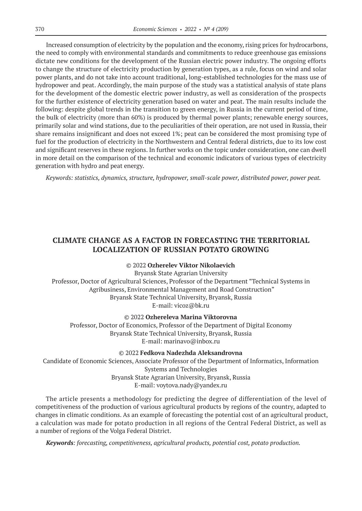Increased consumption of electricity by the population and the economy, rising prices for hydrocarbons, the need to comply with environmental standards and commitments to reduce greenhouse gas emissions dictate new conditions for the development of the Russian electric power industry. The ongoing efforts to change the structure of electricity production by generation types, as a rule, focus on wind and solar power plants, and do not take into account traditional, long-established technologies for the mass use of hydropower and peat. Accordingly, the main purpose of the study was a statistical analysis of state plans for the development of the domestic electric power industry, as well as consideration of the prospects for the further existence of electricity generation based on water and peat. The main results include the following: despite global trends in the transition to green energy, in Russia in the current period of time, the bulk of electricity (more than 60%) is produced by thermal power plants; renewable energy sources, primarily solar and wind stations, due to the peculiarities of their operation, are not used in Russia, their share remains insignificant and does not exceed 1%; peat can be considered the most promising type of fuel for the production of electricity in the Northwestern and Central federal districts, due to its low cost and significant reserves in these regions. In further works on the topic under consideration, one can dwell in more detail on the comparison of the technical and economic indicators of various types of electricity generation with hydro and peat energy.

*Keywords: statistics, dynamics, structure, hydropower, small-scale power, distributed power, power peat.*

# **CLIMATE CHANGE AS A FACTOR IN FORECASTING THE TERRITORIAL LOCALIZATION OF RUSSIAN POTATO GROWING**

### © 2022 **Ozherelev Viktor Nikolaevich**

Bryansk State Agrarian University Professor, Doctor of Agricultural Sciences, Professor of the Department "Technical Systems in Agribusiness, Environmental Management and Road Construction" Bryansk State Technical University, Bryansk, Russia Е-mail: vicoz@bk.ru

© 2022 **Ozhereleva Marina Viktorovna**

Professor, Doctor of Economics, Professor of the Department of Digital Economy Bryansk State Technical University, Bryansk, Russia Е-mail: marinavo@inbox.ru

© 2022 **Fedkova Nadezhda Aleksandrovna**

Candidate of Economic Sciences, Associate Professor of the Department of Informatics, Information Systems and Technologies Bryansk State Agrarian University, Bryansk, Russia Е-mail: voytova.nady@yandex.ru

The article presents a methodology for predicting the degree of differentiation of the level of competitiveness of the production of various agricultural products by regions of the country, adapted to changes in climatic conditions. As an example of forecasting the potential cost of an agricultural product, a calculation was made for potato production in all regions of the Central Federal District, as well as a number of regions of the Volga Federal District.

*Keywords: forecasting, competitiveness, agricultural products, potential cost, potato production.*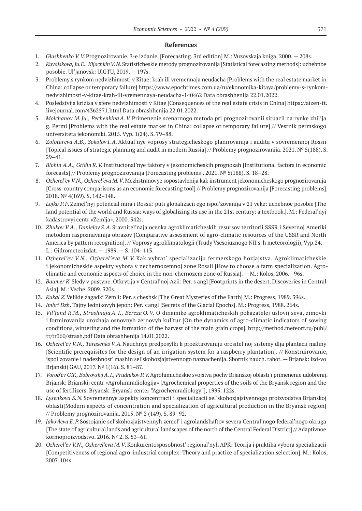- 1. *Glushhenko V.V.*Prognozirovanie. 3‑e izdanie. [Forecasting. 3rd edition] M.: Vuzovskaja kniga, 2000. 208s.
- 2. *Kuvajskova, Ju.E., KljachkinV.N.*Statisticheskie metody prognozirovanija [Statistical forecasting methods]: uchebnoe posobie. Ul'janovsk: UlGTU, 2019. — 197s.
- 3. Problemy s rynkom nedvizhimosti v Kitae: krah ili vremennaja neudacha [Problems with the real estate market in China: collapse or temporary failure] https://www.epochtimes.com.ua/ru/ekonomika-kitaya/problemy-s-rynkomnedvizhimosti-v-kitae-krah-ili-vremennaya-neudacha‑140462 Data obrashhenija 22.01.2022.
- 4. Posledstvija krizisa v sfere nedvizhimosti v Kitae [Consequences of the real estate crisis in China] https://aizen-tt. livejournal.com/4362571.html Data obrashhenija 22.01.2022.
- 5. *Molchanov M.Ju., Pechenkina A.V.* Primenenie scenarnogo metoda pri prognozirovanii situacii na rynke zhil'ja g. Permi [Problems with the real estate market in China: collapse or temporary failure] // Vestnik permskogo universiteta jekonomiki. 2015. Vyp. 1(24). S. 79–88.
- 6. *Zolotareva A.B., Sokolov I.A.*Aktual'nye voprosy strategicheskogo planirovanija i audita v sovremennoj Rossii [Topical issues of strategic planning and audit in modern Russia] // Problemy prognozirovanija. 2021. № 5(188). S. 29–41.
- 7. *Blohin A.A., Gridin R.V.*Institucional'nye faktory v jekonomicheskih prognozah [Institutional factors in economic forecasts] // Problemy prognozirovanija [Forecasting problems]. 2021. № 5(188). S. 18–28.
- 8. *Ozherel'ev V.N., Ozherel'eva M.V*.Mezhstranovye sopostavlenija kak instrument jekonomicheskogo prognozirovanija [Cross-country comparisons as an economic forecasting tool] // Problemy prognozirovanija [Forecasting problems]. 2018. № 4(169). S. 142–148.
- 9. *Lojko P.F.*Zemel'nyj potencial mira i Rossii: puti globalizacii ego ispol'zovanija v 21 veke: uchebnoe posobie [The land potential of the world and Russia: ways of globalizing its use in the 21st century: a textbook.]. M.: Federal'nyj kadastrovyj centr «Zemlja», 2000. 342s.
- 10. *Zhukov V.A., Danielov S.A.* Sravnitel'naja ocenka agroklimaticheskih resursov territorii SSSR i Severnoj Ameriki metodom raspoznavanija obrazov [Comparative assessment of agro-climatic resources of the USSR and North America by pattern recognition]. // Voprosy agroklimatologii (Trudy Vsesojuznogo NII s-h meteorologii), Vyp.24.— L.: Gidrometeoizdat. — 1989. — S. 104–113.
- 11. *Ozherel'ev V.N., Ozherel'eva M. V.* Kak vybrat' specializaciju fermerskogo hozjajstva. Agroklimaticheskie i jekonomicheskie aspekty vybora v nechernozemnoj zone Rossii [How to choose a farm specialization. Agroclimatic and economic aspects of choice in the non-chernozem zone of Russia]. — M.: Kolos, 2006. –96s.
- 12. *Baumer K.*Sledy v pustyne. Otkrytija v Central'noj Azii: Per. s angl [Footprints in the desert. Discoveries in Central Asia]. M.: Veche, 2009. 320s.
- 13. *Kukal Z.*Velikie zagadki Zemli: Per. s cheshsk [The Great Mysteries of the Earth] M.: Progress, 1989. 396s.
- 14. *Imbri Dzh*. Tajny lednikovyh jepoh: Per. s angl [Secrets of the Glacial Epochs]. M.: Progress, 1988. 264s.
- 15. *Vil'fand R.M., Strashnaja A.I., Bereza O.V.* O dinamike agroklimaticheskih pokazatelej uslovij seva, zimovki i formirovanija urozhaja osnovnyh zernovyh kul'tur [On the dynamics of agro-climatic indicators of sowing conditions, wintering and the formation of the harvest of the main grain crops]. http://method.meteorf.ru/publ/ tr/tr360/strash.pdf Data obrashhenija 14.01.2022.
- 16. *Ozherel'ev V.N., TarasenkoV.A.*Nauchnye predposylki k proektirovaniju orositel'noj sistemy dlja plantacii maliny [Scientific prerequisites for the design of an irrigation system for a raspberry plantation]. // Konstruirovanie, ispol'zovanie i nadezhnost' mashin sel'skohozjajstvennogo naznachenija. Sbornik nauch. rabot. — Brjansk: izd-vo Brjanskij GAU, 2017. № 1(16). S. 81–87.
- 17. *Vorob'ev G.T., BobrovskijA.I., PrudnikovP.V.*Agrohimicheskie svojstva pochv Brjanskoj oblasti i primenenie udobrenij. Brjansk: Brjanskij centr «Agrohimradiologija» [Agrochemical properties of the soils of the Bryansk region and the use of fertilizers. Bryansk: Bryansk center "Agrochemradiology"], 1995. 122s.
- 18. *Lysenkova S.N.* Sovremennye aspekty koncentracii i specializacii sel'skohozjajstvennogo proizvodstva Brjanskoj oblasti[Modern aspects of concentration and specialization of agricultural production in the Bryansk region] // Problemy prognozirovanija. 2015. № 2 (149). S. 89–92.
- 19. *Jakovleva E.P.*Sostojanie sel'skohozjajstvennyh zemel' i agrolandshaftov severa Central'nogo federal'nogo okruga [The state of agricultural lands and agricultural landscapes of the north of the Central Federal District] // Adaptivnoe kormoproizvodstvo. 2016. № 2. S. 53–61.
- 20. *Ozherel'ev V.N., Ozherel'eva M.V*.Konkurentosposobnost' regional'nyh APK: Teorija i praktika vybora specializacii [Competitiveness of regional agro-industrial complex: Theory and practice of specialization selection]. M.: Kolos, 2007. 104s.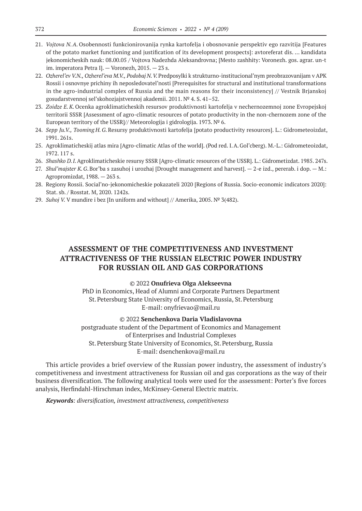- 21. *Vojtova N.A.* Osobennosti funkcionirovanija rynka kartofelja i obosnovanie perspektiv ego razvitija [Features of the potato market functioning and justification of its development prospects]: avtoreferat dis. … kandidata jekonomicheskih nauk: 08.00.05 / Vojtova Nadezhda Aleksandrovna; [Mesto zashhity: Voronezh. gos. agrar. un-t im. imperatora Petra I]. — Voronezh, 2015. — 23 s.
- 22. *Ozherel'ev V.N., Ozherel'eva M.V., Podobaj N.V.*Predposylki k strukturno-institucional'nym preobrazovanijam v APK Rossii i osnovnye prichiny ih neposledovatel'nosti [Prerequisites for structural and institutional transformations in the agro-industrial complex of Russia and the main reasons for their inconsistency] // Vestnik Brjanskoj gosudarstvennoj sel'skohozjajstvennoj akademii. 2011. № 4. S. 41–52.
- 23. *Zoidze E.K.*Ocenka agroklimaticheskih resursov produktivnosti kartofelja v nechernozemnoj zone Evropejskoj territorii SSSR [Assessment of agro-climatic resources of potato productivity in the non-chernozem zone of the European territory of the USSR]// Meteorologija i gidrologija. 1973. № 6.
- 24. *Sepp Ju.V., Tooming H.G.*Resursy produktivnosti kartofelja [potato productivity resources]. L.: Gidrometeoizdat, 1991. 261s.
- 25. Agroklimaticheskij atlas mira [Agro-climatic Atlas of the world]. (Pod red. I.A.Gol'cberg). M.-L.: Gidrometeoizdat, 1972. 117 s.
- 26. *Shashko D.I.*Agroklimaticheskie resursy SSSR [Agro-climatic resources of the USSR]. L.: Gidrometizdat. 1985. 247s.
- 27. *Shul'majster K.G*.Bor'ba s zasuhoj i urozhaj [Drought management and harvest]. 2‑e izd., pererab. i dop. M.: Agropromizdat, 1988. — 263 s.
- 28. Regiony Rossii. Social'no-jekonomicheskie pokazateli 2020 [Regions of Russia. Socio-economic indicators 2020]: Stat. sb. / Rosstat. M, 2020. 1242s.
- 29. *Suhoj V.* V mundire i bez [In uniform and without] // Amerika, 2005. № 3(482).

# **ASSESSMENT OF THE COMPETITIVENESS AND INVESTMENT ATTRACTIVENESS OF THE RUSSIAN ELECTRIC POWER INDUSTRY FOR RUSSIAN OIL AND GAS CORPORATIONS**

#### © 2022 **Onufrieva Olga Alekseevna**

PhD in Economics, Head of Alumni and Corporate Partners Department St.Petersburg State University of Economics, Russia, St.Petersburg E-mail: onyfrievao@mail.ru

#### © 2022 **Senchenkova Daria Vladislavovna**

postgraduate student of the Department of Economics and Management of Enterprises and Industrial Complexes St.Petersburg State University of Economics, St.Petersburg, Russia E-mail: dsenchenkova@mail.ru

This article provides a brief overview of the Russian power industry, the assessment of industry's competitiveness and investment attractiveness for Russian oil and gas corporations as the way of their business diversification. The following analytical tools were used for the assessment: Porter's five forces analysis, Herfindahl-Hirschman index, McKinsey-General Electric matrix.

*Keywords: diversification, investment attractiveness, competitiveness*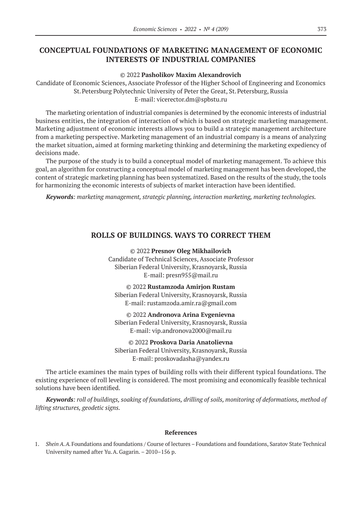# **CONCEPTUAL FOUNDATIONS OF MARKETING MANAGEMENT OF ECONOMIC INTERESTS OF INDUSTRIAL COMPANIES**

#### © 2022 **Pasholikov Maxim Alexandrovich**

Candidate of Economic Sciences, Associate Professor of the Higher School of Engineering and Economics St.Petersburg Polytechnic University of Peter the Great, St.Petersburg, Russia E-mail: vicerector.dm@spbstu.ru

The marketing orientation of industrial companies is determined by the economic interests of industrial business entities, the integration of interaction of which is based on strategic marketing management. Marketing adjustment of economic interests allows you to build a strategic management architecture from a marketing perspective. Marketing management of an industrial company is a means of analyzing the market situation, aimed at forming marketing thinking and determining the marketing expediency of decisions made.

The purpose of the study is to build a conceptual model of marketing management. To achieve this goal, an algorithm for constructing a conceptual model of marketing management has been developed, the content of strategic marketing planning has been systematized. Based on the results of the study, the tools for harmonizing the economic interests of subjects of market interaction have been identified.

*Keywords: marketing management, strategic planning, interaction marketing, marketing technologies.*

### **ROLLS OF BUILDINGS. WAYS TO CORRECT THEM**

© 2022 **Presnov Oleg Mikhailovich** Candidate of Technical Sciences, Associate Professor Siberian Federal University, Krasnoyarsk, Russia E-mail: presn955@mail.ru

© 2022 **Rustamzoda Amirjon Rustam** Siberian Federal University, Krasnoyarsk, Russia E-mail: rustamzoda.amir.ra@gmail.com

© 2022 **Andronova Arina Evgenievna** Siberian Federal University, Krasnoyarsk, Russia E-mail: vip.andronova2000@mail.ru

© 2022 **Proskova Daria Anatolievna** Siberian Federal University, Krasnoyarsk, Russia E-mail: proskovadasha@yandex.ru

The article examines the main types of building rolls with their different typical foundations. The existing experience of roll leveling is considered. The most promising and economically feasible technical solutions have been identified.

*Keywords: roll of buildings, soaking of foundations, drilling of soils, monitoring of deformations, method of lifting structures, geodetic signs.*

#### **References**

1. *Shein A.A.*Foundations and foundations / Course of lectures – Foundations and foundations, Saratov State Technical University named after Yu.A.Gagarin. – 2010–156 p.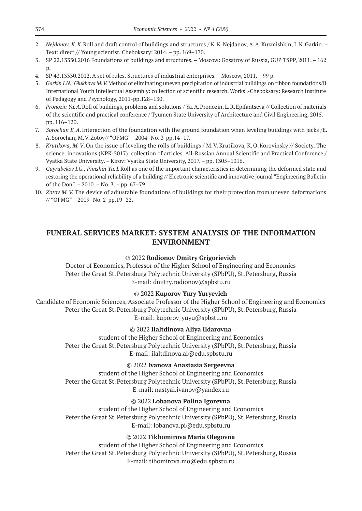- 2. *Nejdanov, K.K*.Roll and draft control of buildings and structures / K.K.Nejdanov, A.A.Kuzmishkin, I.N.Garkin. Text: direct // Young scientist. Cheboksary: 2014. – pp. 169–170.
- 3. SP 22.13330.2016 Foundations of buildings and structures. Moscow: Gosstroy of Russia, GUP TSPP, 2011. 162  $p<sub>r</sub>$
- 4. SP 43.13330.2012. A set of rules. Structures of industrial enterprises. Moscow, 2011. 99 p.
- 5. *Garkin I.N., Glukhova M.V.*Method of eliminating uneven precipitation of industrial buildings on ribbon foundations/Ⅱ International Youth Intellectual Assembly: collection of scientific research. Works'.-Cheboksary: Research Institute of Pedagogy and Psychology, 2011‑pp.128–130.
- 6. *Pronozin Ya.A.*Roll of buildings, problems and solutions / Ya.A.Pronozin, L.R.Epifantseva // Collection of materials of the scientific and practical conference / Tyumen State University of Architecture and Civil Engineering, 2015. – pp. 116–120.
- 7. *Sorochan E.A.*Interaction of the foundation with the ground foundation when leveling buildings with jacks /E. A.Sorochan, M.V.Zotov// "OFMG" –2004–No. 3‑pp.14–17.
- 8. *Krutikova, M.V*.On the issue of leveling the rolls of buildings / M.V.Krutikova, K.O.Korovinsky // Society. The science. innovations (NPK-2017): collection of articles. All-Russian Annual Scientific and Practical Conference / Vyatka State University. – Kirov: Vyatka State University, 2017. – pp. 1305–1316.
- 9. *Gayrabekov I.G., Pimshin Yu.I.*Roll as one of the important characteristics in determining the deformed state and restoring the operational reliability of a building // Electronic scientific and innovative journal "Engineering Bulletin of the Don". – 2010. – No. 3. – pp. 67–79.
- 10. *Zotov M.V.*The device of adjustable foundations of buildings for their protection from uneven deformations // "OFMG" – 2009–No. 2‑pp.19–22.

# **FUNERAL SERVICES MARKET: SYSTEM ANALYSIS OF THE INFORMATION ENVIRONMENT**

### © 2022 **Rodionov Dmitry Grigorievich**

Doctor of Economics, Professor of the Higher School of Engineering and Economics Peter the Great St. Petersburg Polytechnic University (SPbPU), St. Petersburg, Russia E-mail: dmitry.rodionov@spbstu.ru

### © 2022 **Kuporov Yury Yuryevich**

Candidate of Economic Sciences, Associate Professor of the Higher School of Engineering and Economics Peter the Great St. Petersburg Polytechnic University (SPbPU), St. Petersburg, Russia E-mail: kuporov\_yuyu@spbstu.ru

### © 2022 **Ilaltdinova Aliya Ildarovna**

student of the Higher School of Engineering and Economics Peter the Great St. Petersburg Polytechnic University (SPbPU), St. Petersburg, Russia E-mail: ilaltdinova.ai@edu.spbstu.ru

# © 2022 **Ivanova Anastasia Sergeevna**

student of the Higher School of Engineering and Economics Peter the Great St. Petersburg Polytechnic University (SPbPU), St. Petersburg, Russia E-mail: nastyai.ivanov@yandex.ru

# © 2022 **Lobanova Polina Igorevna**

student of the Higher School of Engineering and Economics Peter the Great St. Petersburg Polytechnic University (SPbPU), St. Petersburg, Russia E-mail: lobanova.pi@edu.spbstu.ru

# © 2022 **Tikhomirova Maria Olegovna**

student of the Higher School of Engineering and Economics Peter the Great St. Petersburg Polytechnic University (SPbPU), St. Petersburg, Russia E-mail: tihomirova.mo@edu.spbstu.ru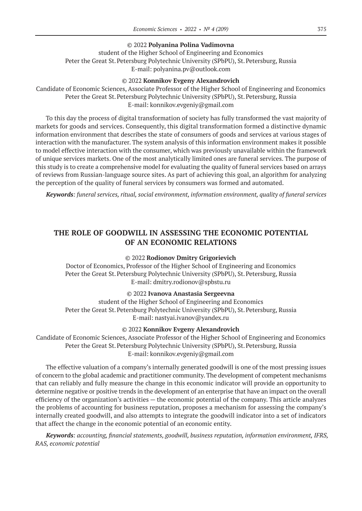### © 2022 **Polyanina Polina Vadimovna**

student of the Higher School of Engineering and Economics Peter the Great St. Petersburg Polytechnic University (SPbPU), St. Petersburg, Russia E-mail: polyanina.pv@outlook.com

#### © 2022 **Konnikov Evgeny Alexandrovich**

Candidate of Economic Sciences, Associate Professor of the Higher School of Engineering and Economics Peter the Great St. Petersburg Polytechnic University (SPbPU), St. Petersburg, Russia E-mail: konnikov.evgeniy@gmail.com

To this day the process of digital transformation of society has fully transformed the vast majority of markets for goods and services. Consequently, this digital transformation formed a distinctive dynamic information environment that describes the state of consumers of goods and services at various stages of interaction with the manufacturer. The system analysis of this information environment makes it possible to model effective interaction with the consumer, which was previously unavailable within the framework of unique services markets. One of the most analytically limited ones are funeral services. The purpose of this study is to create a comprehensive model for evaluating the quality of funeral services based on arrays of reviews from Russian-language source sites. As part of achieving this goal, an algorithm for analyzing the perception of the quality of funeral services by consumers was formed and automated.

*Keywords: funeral services, ritual, social environment, information environment, quality of funeral services*

# **THE ROLE OF GOODWILL IN ASSESSING THE ECONOMIC POTENTIAL OF AN ECONOMIC RELATIONS**

### © 2022 **Rodionov Dmitry Grigorievich**

Doctor of Economics, Professor of the Higher School of Engineering and Economics Peter the Great St. Petersburg Polytechnic University (SPbPU), St. Petersburg, Russia E-mail: dmitry.rodionov@spbstu.ru

#### © 2022 **Ivanova Anastasia Sergeevna**

student of the Higher School of Engineering and Economics Peter the Great St. Petersburg Polytechnic University (SPbPU), St. Petersburg, Russia E-mail: nastyai.ivanov@yandex.ru

#### © 2022 **Konnikov Evgeny Alexandrovich**

Candidate of Economic Sciences, Associate Professor of the Higher School of Engineering and Economics Peter the Great St. Petersburg Polytechnic University (SPbPU), St. Petersburg, Russia E-mail: konnikov.evgeniy@gmail.com

The effective valuation of a company's internally generated goodwill is one of the most pressing issues of concern to the global academic and practitioner community. The development of competent mechanisms that can reliably and fully measure the change in this economic indicator will provide an opportunity to determine negative or positive trends in the development of an enterprise that have an impact on the overall efficiency of the organization's activities — the economic potential of the company. This article analyzes the problems of accounting for business reputation, proposes a mechanism for assessing the company's internally created goodwill, and also attempts to integrate the goodwill indicator into a set of indicators that affect the change in the economic potential of an economic entity.

*Keywords: аccounting, financial statements, goodwill, business reputation, information environment, IFRS, RAS, economic potential*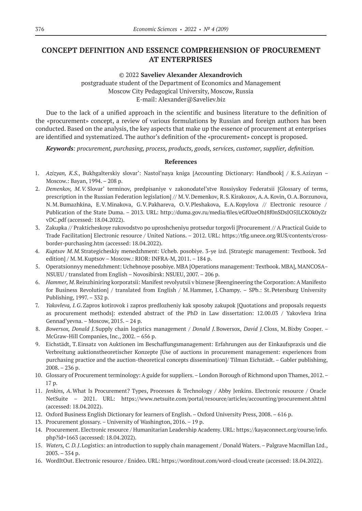# **CONCEPT DEFINITION AND ESSENCE COMPREHENSION OF PROCUREMENT AT ENTERPRISES**

### © 2022 **Saveliev Alexander Alexandrovich**

postgraduate student of the Department of Economics and Management Moscow City Pedagogical University, Moscow, Russia E-mail: Alexander@Saveliev.biz

Due to the lack of a unified approach in the scientific and business literature to the definition of the «procurement» concept, a review of various formulations by Russian and foreign authors has been conducted. Based on the analysis, the key aspects that make up the essence of procurement at enterprises are identified and systematized. The author's definition of the «procurement» concept is proposed.

*Keywords: procurement, purchasing, process, products, goods, services, customer, supplier, definition.*

- 1. *Azizyan, K.S.*, Bukhgalterskiy slovar': Nastol'naya kniga [Accounting Dictionary: Handbook] / К.S.Azizyan Moscow.: Bayan, 1994. – 208 p.
- 2. *Demenkov, M.V.* Slovar' terminov, predpisaniye v zakonodatel'stve Rossiyskoy Federatsii [Glossary of terms, prescription in the Russian Federation legislation] // M.V.Demenkov, R.S.Kirakozov, A.A.Kovin, O.A.Borzunova, N.M.Bumazhkina, E.V.Minakova, G.V.Pakhareva, O.V.Pleshakova, E.A.Kopylova // Electronic resource / Publication of the State Duma. – 2013. URL: http://duma.gov.ru/media/files/eGfOzeOhJ8f0nSDsJO5JLCKOk0yZr vDC.pdf (accessed: 18.04.2022).
- 3. Zakupka // Prakticheskoye rukovodstvo po uproshcheniyu protsedur torgovli [Procurement // A Practical Guide to Trade Facilitation] Electronic resource / United Nations. – 2012. URL: https://tfig.unece.org/RUS/contents/crossborder-purchasing.htm (accessed: 18.04.2022).
- 4. *Kuptsov M.M.*Strategicheskiy menedzhment: Ucheb. posobiye. 3‑ye izd. [Strategic management: Textbook. 3rd edition] / M.M.Kuptsov – Moscow.: RIOR: INFRA-M, 2011. – 184 p.
- 5. Operatsionnyy menedzhment: Uchebnoye posobiye. МВА [Operations management: Textbook. MBA], MANCOSA– NSUEU / translated from English – Novosibirsk: NSUEU, 2007. – 206 p.
- 6. *Hammer, M*.Reinzhiniring korporatsii: Manifest revolyutsii v biznese [Reengineering the Corporation: A Manifesto for Business Revolution] / translated from English / M.Hammer, J.Champy. – SPb.: St.Petersburg University Publishing, 1997. – 332 p.
- 7. *Yakovleva, I.G*.Zapros kotirovok i zapros predlozheniy kak sposoby zakupok [Quotations and proposals requests as procurement methods]: extended abstract of the PhD in Law dissertation: 12.00.03 / Yakovleva Irina Gennad'yevna. – Moscow, 2015. – 24 p.
- 8. *Bowersox, Donald J.*Supply chain logistics management / *Donald J.*Bowersox, *David J.*Closs, M.Bixby Cooper. McGraw-Hill Companies, Inc., 2002. – 656 p.
- 9. Eichstädt, T.Einsatz von Auktionen im Beschaffungsmanagement: Erfahrungen aus der Einkaufspraxis und die Verbreitung auktionstheoretischer Konzepte [Use of auctions in procurement management: experiences from purchasing practice and the auction-theoretical concepts dissemination]/ Tilman Eichstädt. – Gabler publishimg, 2008. – 236 p.
- 10. Glossary of Procurement terminology: A guide for suppliers. London Borough of Richmond upon Thames, 2012. 17 p.
- 11. *Jenkins, A*.What Is Procurement? Types, Processes & Technology / Abby Jenkins. Electronic resource / Oracle NetSuite – 2021. URL: https://www.netsuite.com/portal/resource/articles/accounting/procurement.shtml (accessed: 18.04.2022).
- 12. Oxford Business English Dictionary for learners of English. Oxford University Press, 2008. 616 p.
- 13. Procurement glossary. University of Washington, 2016. 19 p.
- 14. Procurement. Electronic resource / Humanitarian Leadership Academy. URL: https://kayaconnect.org/course/info. php?id=1663 (accessed: 18.04.2022).
- 15. *Waters, C. D.J*.Logistics: an introduction to supply chain management / Donald Waters. Palgrave Macmillan Ltd., 2003. – 354 p.
- 16. WordItOut. Electronic resource / Enideo. URL: https://worditout.com/word-cloud/create (accessed: 18.04.2022).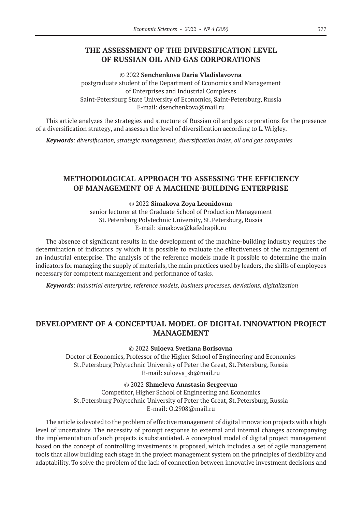# **THE ASSESSMENT OF THE DIVERSIFICATION LEVEL OF RUSSIAN OIL AND GAS CORPORATIONS**

© 2022 **Senchenkova Daria Vladislavovna**

postgraduate student of the Department of Economics and Management of Enterprises and Industrial Complexes Saint-Petersburg State University of Economics, Saint-Petersburg, Russia E-mail: dsenchenkova@mail.ru

This article analyzes the strategies and structure of Russian oil and gas corporations for the presence of a diversification strategy, and assesses the level of diversification according to L.Wrigley.

*Keywords: diversification, strategic management, diversification index, oil and gas companies*

# **METHODOLOGICAL APPROACH TO ASSESSING THE EFFICIENCY OF MANAGEMENT OF A MACHINE-BUILDING ENTERPRISE**

### © 2022 **Simakova Zoya Leonidovna**

senior lecturer at the Graduate School of Production Management St.Petersburg Polytechnic University, St.Petersburg, Russia E-mail: simakova@kafedrapik.ru

The absence of significant results in the development of the machine-building industry requires the determination of indicators by which it is possible to evaluate the effectiveness of the management of an industrial enterprise. The analysis of the reference models made it possible to determine the main indicators for managing the supply of materials, the main practices used by leaders, the skills of employees necessary for competent management and performance of tasks.

*Keywords: industrial enterprise, reference models, business processes, deviations, digitalization*

# **DEVELOPMENT OF A CONCEPTUAL MODEL OF DIGITAL INNOVATION PROJECT MANAGEMENT**

© 2022 **Suloeva Svetlana Borisovna**

Doctor of Economics, Professor of the Higher School of Engineering and Economics St.Petersburg Polytechnic University of Peter the Great, St.Petersburg, Russia E-mail: suloeva\_sb@mail.ru

© 2022 **Shmeleva Anastasia Sergeevna**

Competitor, Higher School of Engineering and Economics St.Petersburg Polytechnic University of Peter the Great, St.Petersburg, Russia E-mail: O.2908@mail.ru

The article is devoted to the problem of effective management of digital innovation projects with a high level of uncertainty. The necessity of prompt response to external and internal changes accompanying the implementation of such projects is substantiated. A conceptual model of digital project management based on the concept of controlling investments is proposed, which includes a set of agile management tools that allow building each stage in the project management system on the principles of flexibility and adaptability. To solve the problem of the lack of connection between innovative investment decisions and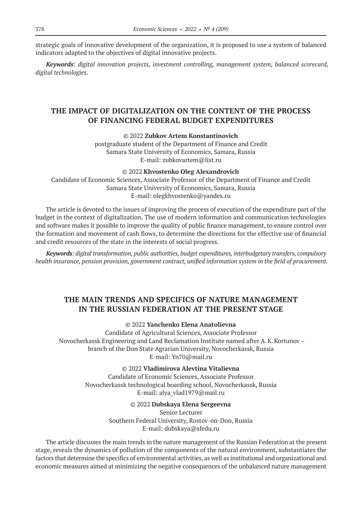strategic goals of innovative development of the organization, it is proposed to use a system of balanced indicators adapted to the objectives of digital innovative projects.

*Keywords: digital innovation projects, investment controlling, management system, balanced scorecard, digital technologies.*

# **THE IMPACT OF DIGITALIZATION ON THE CONTENT OF THE PROCESS OF FINANCING FEDERAL BUDGET EXPENDITURES**

© 2022 **Zubkov Artem Konstantinovich**

postgraduate student of the Department of Finance and Credit Samara State University of Economics, Samara, Russia E-mail: zubkovartem@list.ru

© 2022 **Khvostenko Oleg Alexandrovich** Candidate of Economic Sciences, Associate Professor of the Department of Finance and Credit Samara State University of Economics, Samara, Russia E-mail: olegkhvostenko@yandex.ru

The article is devoted to the issues of improving the process of execution of the expenditure part of the budget in the context of digitalization. The use of modern information and communication technologies and software makes it possible to improve the quality of public finance management, to ensure control over the formation and movement of cash flows, to determine the directions for the effective use of financial and credit resources of the state in the interests of social progress.

*Keywords: digital transformation, public authorities, budget expenditures, interbudgetary transfers, compulsory health insurance, pension provision, government contract, unified information system in the field of procurement.*

# **THE MAIN TRENDS AND SPECIFICS OF NATURE MANAGEMENT IN THE RUSSIAN FEDERATION AT THE PRESENT STAGE**

© 2022 **Yanchenko Elena Anatolievna**

Candidate of Agricultural Sciences, Associate Professor Novocherkassk Engineering and Land Reclamation Institute named after A.K.Kortunov – branch of the Don State Agrarian University, Novocherkassk, Russia E-mail: Yn70@mail.ru

© 2022 **Vladimirova Alevtina Vitalievna**

Candidate of Economic Sciences, Associate Professor Novocherkassk technological boarding school, Novocherkassk, Russia E-mail: alya\_vlad1979@mail.ru

## © 2022 **Dubskaya Elena Sergeevna**

Senior Lecturer Southern Federal University, Rostov-on-Don, Russia E-mail: dubskaya@sfedu.ru

The article discusses the main trends in the nature management of the Russian Federation at the present stage, reveals the dynamics of pollution of the components of the natural environment, substantiates the factors that determine the specifics of environmental activities, as well as institutional and organizational and economic measures aimed at minimizing the negative consequences of the unbalanced nature management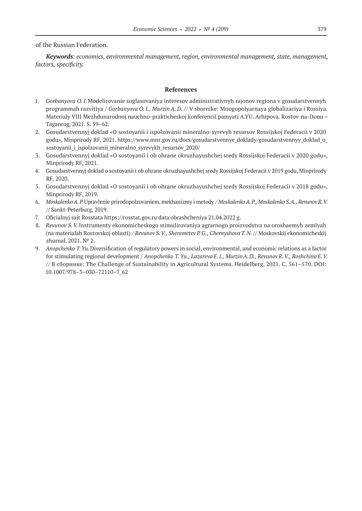of the Russian Federation.

*Keywords: economics, environmental management, region, environmental management, state, management, factors, specificity.*

- 1. *Gorbanyova O.I.* Modelirovanie soglasovaniya interesov administrativnyh rajonov regiona v gosudarstvennyh programmah razvitiya / *Gorbanyova O.I., MurzinA. D.* // V sbornike: Mnogopolyarnaya globalizaciya i Rossiya. Materialy VIII Mezhdunarodnoj nauchno-prakticheskoj konferencii pamyati A.YU. Arhipova. Rostov-na-Donu – Taganrog, 2021. S. 59–62.
- 2. Gosudarstvennyj doklad «O sostoyanii i ispolzovanii mineralno-syrevyh resursov Rossijskoj Federacii v 2020 godu», Minprirody RF, 2021. https://www.mnr.gov.ru/docs/gosudarstvennye\_doklady/gosudarstvennyy\_doklad\_o\_ sostoyanii i ispolzovanii mineralno syrevykh resursov 2020/
- 3. Gosudarstvennyj doklad «O sostoyanii i ob ohrane okruzhayushchej sredy Rossijskoj Federacii v 2020 godu», Minprirody RF, 2021.
- 4. Gosudarstvennyj doklad o sostoyanii i ob ohrane okruzhayushchej sredy Rossijskoj Federacii v 2019 godu, Minprirody RF, 2020.
- 5. Gosudarstvennyj doklad «O sostoyanii i ob ohrane okruzhayushchej sredy Rossijskoj Federacii v 2018 godu», Minprirody RF, 2019.
- 6. *Moskalenko A.P.*Upravlenie prirodopolzovaniem. mekhanizmy i metody / *MoskalenkoA.P., Moskalenko S.A., RevunovR.V.*  // Sankt-Peterburg, 2019.
- 7. Oficialnyj sajt Rosstata https://rosstat.gov.ru data obrashcheniya 21.04.2022 g.
- 8. *Revunov S.V.*Instrumenty ekonomicheskogo stimulirovaniya agrarnogo proizvodstva na oroshaemyh zemlyah (na materialah Rostovskoj oblasti) / *Revunov S.V., Sheremetev P.G., Chernyshova T.N.* // Moskovskij ekonomicheskij zhurnal. 2021. № 2.
- 9. *Anopchenko T.Yu.*Diversification of regulatory powers in social, environmental, and economic relations as a factor for stimulating regional development / *Anopchenko T.Yu., Lazareva E.I., MurzinA.D., Revunov R.V., Roshchina E.V.*  // В сборнике: The Challenge of Sustainability in Agricultural Systems. Heidelberg, 2021. С. 561–570. DOI: 10.1007/978–3–030–72110–7\_62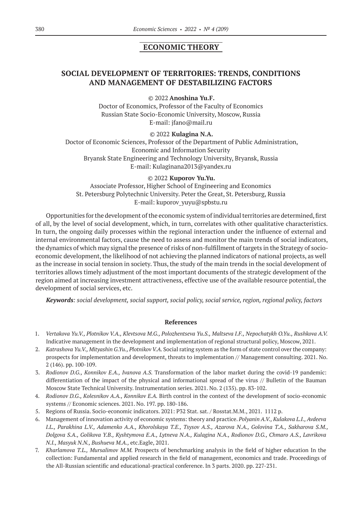# **ECONOMIC THEORY**

# **SOCIAL DEVELOPMENT OF TERRITORIES: TRENDS, CONDITIONS AND MANAGEMENT OF DESTABILIZING FACTORS**

© 2022 **Anoshina Yu.F.**

Doctor of Economics, Professor of the Faculty of Economics Russian State Socio-Economic University, Moscow, Russia E-mail: jfano@mail.ru

© 2022 **Kulagina N.A.**

Doctor of Economic Sciences, Professor of the Department of Public Administration, Economic and Information Security Bryansk State Engineering and Technology University, Bryansk, Russia E-mail: Kulaginana2013@yandex.ru

© 2022 **Kuporov Yu.Yu.**

Associate Professor, Higher School of Engineering and Economics St. Petersburg Polytechnic University. Peter the Great, St. Petersburg, Russia E-mail: kuporov\_yuyu@spbstu.ru

Opportunities for the development of the economic system of individual territories are determined, first of all, by the level of social development, which, in turn, correlates with other qualitative characteristics. In turn, the ongoing daily processes within the regional interaction under the influence of external and internal environmental factors, cause the need to assess and monitor the main trends of social indicators, the dynamics of which may signal the presence of risks of non-fulfillment of targets in the Strategy of socioeconomic development, the likelihood of not achieving the planned indicators of national projects, as well as the increase in social tension in society. Thus, the study of the main trends in the social development of territories allows timely adjustment of the most important documents of the strategic development of the region aimed at increasing investment attractiveness, effective use of the available resource potential, the development of social services, etc.

*Keywords: social development, social support, social policy, social service, region, regional policy, factors*

- 1. *Vertakova Yu.V., Plotnikov V.A., Klevtsova M.G., Polozhentseva Yu.S., Maltseva I.F., Nepochatykh O.Yu., Rushkova A.V.*  Indicative management in the development and implementation of regional structural policy, Moscow, 2021.
- 2. *Katrashova Yu.V., Mityashin G.Yu., Plotnikov V.A.* Social rating system as the form of state control over the company: prospects for implementation and development, threats to implementation // Management consulting. 2021. No. 2 (146). pp. 100-109.
- 3. *Rodionov D.G., Konnikov E.A., Ivanova A.S.* Transformation of the labor market during the covid-19 pandemic: differentiation of the impact of the physical and informational spread of the virus // Bulletin of the Bauman Moscow State Technical University. Instrumentation series. 2021. No. 2 (135). pp. 83-102.
- 4. *Rodionov D.G., Kolesnikov A.A., Konnikov E.A.* Birth control in the context of the development of socio-economic systems // Economic sciences. 2021. No. 197. pp. 180-186.
- 5. Regions of Russia. Socio-economic indicators. 2021: P32 Stat. sat. / Rosstat.М.M., 2021. 1112 p.
- 6. Management of innovation activity of economic systems: theory and practice. *Polyanin A.V., Kulakova L.I., Avdeeva I.L., Parakhina L.V., Adamenko A.A., Khorolskaya T.E., Tsysov A.S., Azarova N.A., Golovina T.A., Sakharova S.M., Dolgova S.A., Golikova Y.B., Kyshtymova E.A., Lytneva N.A., Kulagina N.A., Rodionov D.G., Chmaro A.S., Lavrikova N.I., Masyuk N.N., Bushueva M.A.,* etc.Eagle, 2021.
- 7. *Kharlamova T.L., Mursalimov M.M.* Prospects of benchmarking analysis in the field of higher education In the collection: Fundamental and applied research in the field of management, economics and trade. Proceedings of the All-Russian scientific and educational-practical conference. In 3 parts. 2020. pp. 227-231.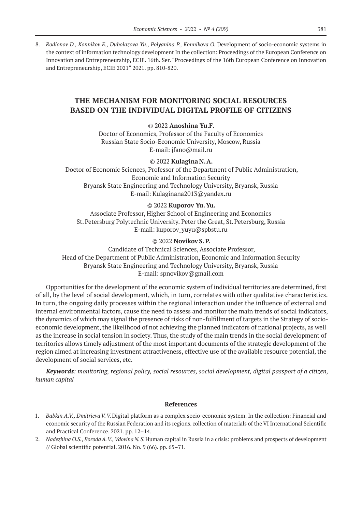8. Rodionov D., Konnikov E., Dubolazova Yu., Polyanina P., Konnikova O. Development of socio-economic systems in the context of information technology development In the collection: Proceedings of the European Conference on Innovation and Entrepreneurship, ECIE. 16th. Ser. "Proceedings of the 16th European Conference on Innovation and Entrepreneurship, ECIE 2021" 2021. pp. 810-820.

# **THE MECHANISM FOR MONITORING SOCIAL RESOURCES BASED ON THE INDIVIDUAL DIGITAL PROFILE OF CITIZENS**

© 2022 **Anoshina Yu.F.**

Doctor of Economics, Professor of the Faculty of Economics Russian State Socio-Economic University, Moscow, Russia E-mail: jfano@mail.ru

© 2022 **Kulagina N.A.**

Doctor of Economic Sciences, Professor of the Department of Public Administration, Economic and Information Security Bryansk State Engineering and Technology University, Bryansk, Russia E-mail: Kulaginana2013@yandex.ru

#### © 2022 **Kuporov Yu.Yu.**

Associate Professor, Higher School of Engineering and Economics St.Petersburg Polytechnic University. Peter the Great, St.Petersburg, Russia E-mail: kuporov\_yuyu@spbstu.ru

### © 2022 **Novikov S.P.**

Candidate of Technical Sciences, Associate Professor, Head of the Department of Public Administration, Economic and Information Security Bryansk State Engineering and Technology University, Bryansk, Russia E-mail: spnovikov@gmail.com

Opportunities for the development of the economic system of individual territories are determined, first of all, by the level of social development, which, in turn, correlates with other qualitative characteristics. In turn, the ongoing daily processes within the regional interaction under the influence of external and internal environmental factors, cause the need to assess and monitor the main trends of social indicators, the dynamics of which may signal the presence of risks of non-fulfillment of targets in the Strategy of socioeconomic development, the likelihood of not achieving the planned indicators of national projects, as well as the increase in social tension in society. Thus, the study of the main trends in the social development of territories allows timely adjustment of the most important documents of the strategic development of the region aimed at increasing investment attractiveness, effective use of the available resource potential, the development of social services, etc.

*Keywords: monitoring, regional policy, social resources, social development, digital passport of a citizen, human capital*

- 1. *Babkin A.V., Dmitrieva V.V.* Digital platform as a complex socio-economic system. In the collection: Financial and economic security of the Russian Federation and its regions. collection of materials of the VI International Scientific and Practical Conference. 2021. pp. 12–14.
- 2. *Nadezhina O.S., BorodaA.V., Vdovina N.S.*Human capital in Russia in a crisis: problems and prospects of development // Global scientific potential. 2016. No. 9 (66). pp. 65–71.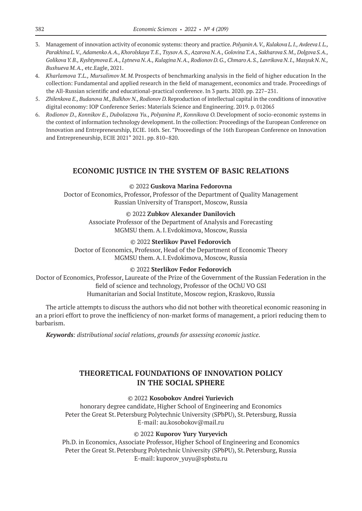- 3. Management of innovation activity of economic systems: theory and practice. *PolyaninA.V., Kulakova L.I., Avdeeva I.L., Parakhina L.V., AdamenkoA.A., KhorolskayaT.E., TsysovA.S., Azarova N.A., GolovinaT.A., Sakharova S.M., Dolgova S.A., GolikovaY.B., Kyshtymova E.A., Lytneva N.A., Kulagina N.A., Rodionov D.G., ChmaroA.S., Lavrikova N.I., Masyuk N.N., Bushueva M.A.,* etc.Eagle, 2021.
- 4. *Kharlamova T.L., Mursalimov M. M.*Prospects of benchmarking analysis in the field of higher education In the collection: Fundamental and applied research in the field of management, economics and trade. Proceedings of the All-Russian scientific and educational-practical conference. In 3 parts. 2020. pp. 227–231.
- 5. *Zhilenkova E., Budanova M., Bulkhov N., Rodionov D.*Reproduction of intellectual capital in the conditions of innovative digital economy: IOP Conference Series: Materials Science and Engineering. 2019. p. 012065
- 6. *Rodionov D., Konnikov E., Dubolazova Yu., Polyanina P., Konnikova O.*Development of socio-economic systems in the context of information technology development. In the collection: Proceedings of the European Conference on Innovation and Entrepreneurship, ECIE. 16th. Ser. "Proceedings of the 16th European Conference on Innovation and Entrepreneurship, ECIE 2021" 2021. pp. 810–820.

# **ECONOMIC JUSTICE IN THE SYSTEM OF BASIC RELATIONS**

#### © 2022 **Guskova Marina Fedorovna**

Doctor of Economics, Professor, Professor of the Department of Quality Management Russian University of Transport, Moscow, Russia

#### © 2022 **Zubkov Alexander Danilovich**

Associate Professor of the Department of Analysis and Forecasting MGMSU them. A.I.Evdokimova, Moscow, Russia

### © 2022 **Sterlikov Pavel Fedorovich**

Doctor of Economics, Professor, Head of the Department of Economic Theory MGMSU them. A.I.Evdokimova, Moscow, Russia

### © 2022 **Sterlikov Fedor Fedorovich**

Doctor of Economics, Professor, Laureate of the Prize of the Government of the Russian Federation in the field of science and technology, Professor of the OChU VO GSI Humanitarian and Social Institute, Moscow region, Kraskovo, Russia

The article attempts to discuss the authors who did not bother with theoretical economic reasoning in an a priori effort to prove the inefficiency of non-market forms of management, a priori reducing them to barbarism.

*Keywords: distributional social relations, grounds for assessing economic justice.*

# **THEORETICAL FOUNDATIONS OF INNOVATION POLICY IN THE SOCIAL SPHERE**

#### © 2022 **Kosobokov Andrei Yurievich**

honorary degree candidate, Higher School of Engineering and Economics Peter the Great St. Petersburg Polytechnic University (SPbPU), St. Petersburg, Russia E-mail: au.kosobokov@mail.ru

### © 2022 **Kuporov Yury Yuryevich**

Ph.D. in Economics, Associate Professor, Higher School of Engineering and Economics Peter the Great St. Petersburg Polytechnic University (SPbPU), St. Petersburg, Russia E-mail: kuporov\_yuyu@spbstu.ru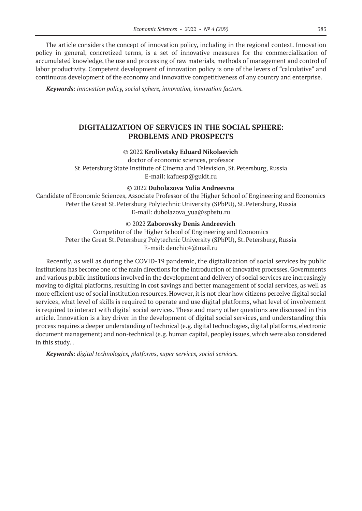The article considers the concept of innovation policy, including in the regional context. Innovation policy in general, concretized terms, is a set of innovative measures for the commercialization of accumulated knowledge, the use and processing of raw materials, methods of management and control of labor productivity. Competent development of innovation policy is one of the levers of "calculative" and continuous development of the economy and innovative competitiveness of any country and enterprise.

*Keywords: innovation policy, social sphere, innovation, innovation factors.*

# **DIGITALIZATION OF SERVICES IN THE SOCIAL SPHERE: PROBLEMS AND PROSPECTS**

### © 2022 **Krolivetsky Eduard Nikolaevich**

doctor of economic sciences, professor St.Petersburg State Institute of Cinema and Television, St.Petersburg, Russia E-mail: kafuesp@gukit.ru

### © 2022 **Dubolazova Yulia Andreevna**

Candidate of Economic Sciences, Associate Professor of the Higher School of Engineering and Economics Peter the Great St. Petersburg Polytechnic University (SPbPU), St. Petersburg, Russia E-mail: dubolazova\_yua@spbstu.ru

### © 2022 **Zaborovsky Denis Andreevich**

Competitor of the Higher School of Engineering and Economics Peter the Great St. Petersburg Polytechnic University (SPbPU), St. Petersburg, Russia E-mail: denchic4@mail.ru

Recently, as well as during the COVID-19 pandemic, the digitalization of social services by public institutions has become one of the main directions for the introduction of innovative processes. Governments and various public institutions involved in the development and delivery of social services are increasingly moving to digital platforms, resulting in cost savings and better management of social services, as well as more efficient use of social institution resources. However, it is not clear how citizens perceive digital social services, what level of skills is required to operate and use digital platforms, what level of involvement is required to interact with digital social services. These and many other questions are discussed in this article. Innovation is a key driver in the development of digital social services, and understanding this process requires a deeper understanding of technical (e.g. digital technologies, digital platforms, electronic document management) and non-technical (e.g. human capital, people) issues, which were also considered in this study. .

*Keywords: digital technologies, platforms, super services, social services.*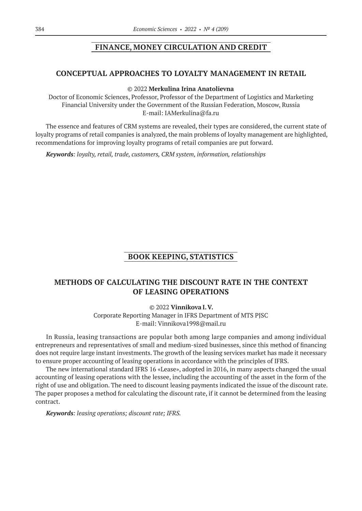# **FINANCE, MONEY CIRCULATION AND CREDIT**

# **CONCEPTUAL APPROACHES TO LOYALTY MANAGEMENT IN RETAIL**

### © 2022 **Merkulina Irina Anatolievna**

Doctor of Economic Sciences, Professor, Professor of the Department of Logistics and Marketing Financial University under the Government of the Russian Federation, Moscow, Russia E-mail: IAMerkulina@fa.ru

The essence and features of CRM systems are revealed, their types are considered, the current state of loyalty programs of retail companies is analyzed, the main problems of loyalty management are highlighted, recommendations for improving loyalty programs of retail companies are put forward.

*Keywords: loyalty, retail, trade, customers, CRM system, information, relationships*

# **BOOK KEEPING, STATISTICS**

# **METHODS OF CALCULATING THE DISCOUNT RATE IN THE CONTEXT OF LEASING OPERATIONS**

© 2022 **Vinnikova I.V.** Corporate Reporting Manager in IFRS Department of MTS PJSC E-mail: Vinnikova1998@mail.ru

In Russia, leasing transactions are popular both among large companies and among individual entrepreneurs and representatives of small and medium-sized businesses, since this method of financing does not require large instant investments. The growth of the leasing services market has made it necessary to ensure proper accounting of leasing operations in accordance with the principles of IFRS.

The new international standard IFRS 16 «Lease», adopted in 2016, in many aspects changed the usual accounting of leasing operations with the lessee, including the accounting of the asset in the form of the right of use and obligation. The need to discount leasing payments indicated the issue of the discount rate. The paper proposes a method for calculating the discount rate, if it cannot be determined from the leasing contract.

*Keywords: leasing operations; discount rate; IFRS.*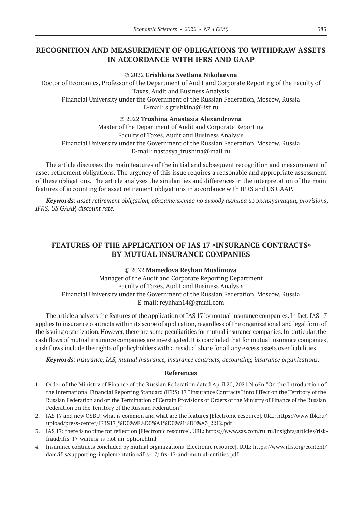# **RECOGNITION AND MEASUREMENT OF OBLIGATIONS TO WITHDRAW ASSETS IN ACCORDANCE WITH IFRS AND GAAP**

### © 2022 **Grishkina Svetlana Nikolaevna**

Doctor of Economics, Professor of the Department of Audit and Corporate Reporting of the Faculty of Taxes, Audit and Business Analysis Financial University under the Government of the Russian Federation, Moscow, Russia E-mail: s grishkina@list.ru

### © 2022 **Trushina Anastasia Alexandrovna**

Master of the Department of Audit and Corporate Reporting Faculty of Taxes, Audit and Business Analysis Financial University under the Government of the Russian Federation, Moscow, Russia E-mail: nastasya\_trushina@mail.ru

The article discusses the main features of the initial and subsequent recognition and measurement of asset retirement obligations. The urgency of this issue requires a reasonable and appropriate assessment of these obligations. The article analyzes the similarities and differences in the interpretation of the main features of accounting for asset retirement obligations in accordance with IFRS and US GAAP.

*Keywords: asset retirement obligation, обязательство по выводу актива из эксплуатации, provisions, IFRS, US GAAP, discount rate.*

# **FEATURES OF THE APPLICATION OF IAS 17 «INSURANCE CONTRACTS» BY MUTUAL INSURANCE COMPANIES**

© 2022 **Mamedova Reyhan Muslimova**

Manager of the Audit and Corporate Reporting Department Faculty of Taxes, Audit and Business Analysis Financial University under the Government of the Russian Federation, Moscow, Russia E-mail: reykhan14@gmail.com

The article analyzes the features of the application of IAS 17 by mutual insurance companies. In fact, IAS 17 applies to insurance contracts within its scope of application, regardless of the organizational and legal form of the issuing organization. However, there are some peculiarities for mutual insurance companies. In particular, the cash flows of mutual insurance companies are investigated. It is concluded that for mutual insurance companies, cash flows include the rights of policyholders with a residual share for all any excess assets over liabilities.

*Keywords: insurance, IAS, mutual insurance, insurance contracts, accounting, insurance organizations.*

- 1. Order of the Ministry of Finance of the Russian Federation dated April 20, 2021 N 65n "On the Introduction of the International Financial Reporting Standard (IFRS) 17 "Insurance Contracts" into Effect on the Territory of the Russian Federation and on the Termination of Certain Provisions of Orders of the Ministry of Finance of the Russian Federation on the Territory of the Russian Federation"
- 2. IAS 17 and new OSBU: what is common and what are the features [Electronic resource]. URL: https://www.fbk.ru/ upload/press-center/IFRS17\_%D0%9E%D0%A1%D0%91%D0%A3\_2212.pdf
- 3. IAS 17: there is no time for reflection [Electronic resource]. URL: https://www.sas.com/ru\_ru/insights/articles/riskfraud/ifrs‑17‑waiting-is-not-an-option.html
- 4. Insurance contracts concluded by mutual organizations [Electronic resource]. URL: https://www.ifrs.org/content/ dam/ifrs/supporting-implementation/ifrs-17/ifrs-17-and-mutual-entities.pdf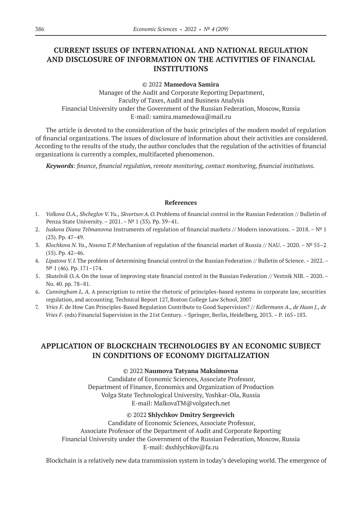# **CURRENT ISSUES OF INTERNATIONAL AND NATIONAL REGULATION AND DISCLOSURE OF INFORMATION ON THE ACTIVITIES OF FINANCIAL INSTITUTIONS**

© 2022 **Mamedova Samira**

Manager of the Audit and Corporate Reporting Department, Faculty of Taxes, Audit and Business Analysis Financial University under the Government of the Russian Federation, Moscow, Russia E-mail: samira.mamedowa@mail.ru

The article is devoted to the consideration of the basic principles of the modern model of regulation of financial organizations. The issues of disclosure of information about their activities are considered. According to the results of the study, the author concludes that the regulation of the activities of financial organizations is currently a complex, multifaceted phenomenon.

*Keywords: finance, financial regulation, remote monitoring, contact monitoring, financial institutions.*

#### **References**

- 1. *Volkova O.A., Shcheglov V.Yu., SkvortsovA.O.*Problems of financial control in the Russian Federation // Bulletin of Penza State University. – 2021. – № 1 (33). Pp. 39–41.
- 2. *Isakova Diana Telmanovna* Instruments of regulation of financial markets // Modern innovations. 2018. № 1 (23). Pp. 47–49.
- 3. *Klochkova N.Ya., Nosova T.P.*Mechanism of regulation of the financial market of Russia // NAU. 2020. № 55–2 (55). Pp. 42–46.
- 4. *Lipatova V.I.*The problem of determining financial control in the Russian Federation // Bulletin of Science. 2022. № 1 (46). Pp. 171–174.
- 5. *Skutelnik O.A.*On the issue of improving state financial control in the Russian Federation // Vestnik NIB. 2020. No. 40. pp. 78–81.
- 6. *Cunningham L. A.* A prescription to retire the rhetoric of principles-based systems in corporate law, securities regulation, and accounting. Technical Report 127, Boston College Law School, 2007
- 7. *Vries F.* de How Can Principles-Based Regulation Contribute to Good Supervision? // *Kellermann A., de Haan J., de Vries F.* (eds) Financial Supervision in the 21st Century. – Springer, Berlin, Heidelberg, 2013. – P. 165–183.

# **APPLICATION OF BLOCKCHAIN TECHNOLOGIES BY AN ECONOMIC SUBJECT IN CONDITIONS OF ECONOMY DIGITALIZATION**

### © 2022 **Naumova Tatyana Maksimovna**

Candidate of Economic Sciences, Associate Professor, Department of Finance, Economics and Organization of Production Volga State Technological University, Yoshkar-Ola, Russia E-mail: MalkovaTM@volgatech.net

#### © 2022 **Shlychkov Dmitry Sergeevich**

Candidate of Economic Sciences, Associate Professor, Associate Professor of the Department of Audit and Corporate Reporting Financial University under the Government of the Russian Federation, Moscow, Russia E-mail: dsshlychkov@fa.ru

Blockchain is a relatively new data transmission system in today's developing world. The emergence of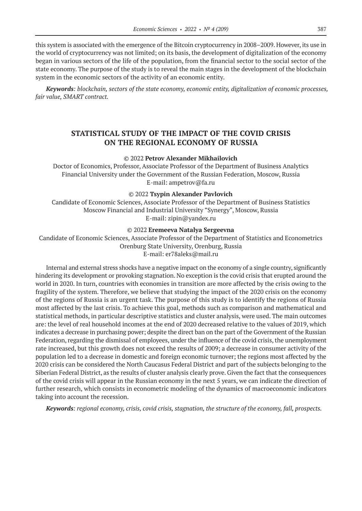this system is associated with the emergence of the Bitcoin cryptocurrency in 2008–2009. However, its use in the world of cryptocurrency was not limited; on its basis, the development of digitalization of the economy began in various sectors of the life of the population, from the financial sector to the social sector of the state economy. The purpose of the study is to reveal the main stages in the development of the blockchain system in the economic sectors of the activity of an economic entity.

*Keywords: blockchain, sectors of the state economy, economic entity, digitalization of economic processes, fair value, SMART contract.*

# **STATISTICAL STUDY OF THE IMPACT OF THE COVID CRISIS ON THE REGIONAL ECONOMY OF RUSSIА**

#### © 2022 **Petrov Alexander Mikhailovich**

Doctor of Economics, Professor, Associate Professor of the Department of Business Analytics Financial University under the Government of the Russian Federation, Moscow, Russia E-mail: ampetrov@fa.ru

#### © 2022 **Tsypin Alexander Pavlovich**

Candidate of Economic Sciences, Associate Professor of the Department of Business Statistics Moscow Financial and Industrial University "Synergy", Moscow, Russia E-mail: zipin@yandex.ru

#### © 2022 **Eremeeva Natalya Sergeevna**

Candidate of Economic Sciences, Associate Professor of the Department of Statistics and Econometrics Orenburg State University, Orenburg, Russia E-mail: er78aleks@mail.ru

Internal and external stress shocks have a negative impact on the economy of a single country, significantly hindering its development or provoking stagnation. No exception is the covid crisis that erupted around the world in 2020. In turn, countries with economies in transition are more affected by the crisis owing to the fragility of the system. Therefore, we believe that studying the impact of the 2020 crisis on the economy of the regions of Russia is an urgent task. The purpose of this study is to identify the regions of Russia most affected by the last crisis. To achieve this goal, methods such as comparison and mathematical and statistical methods, in particular descriptive statistics and cluster analysis, were used. The main outcomes are: the level of real household incomes at the end of 2020 decreased relative to the values of 2019, which indicates a decrease in purchasing power; despite the direct ban on the part of the Government of the Russian Federation, regarding the dismissal of employees, under the influence of the covid crisis, the unemployment rate increased, but this growth does not exceed the results of 2009; a decrease in consumer activity of the population led to a decrease in domestic and foreign economic turnover; the regions most affected by the 2020 crisis can be considered the North Caucasus Federal District and part of the subjects belonging to the Siberian Federal District, as the results of cluster analysis clearly prove. Given the fact that the consequences of the covid crisis will appear in the Russian economy in the next 5 years, we can indicate the direction of further research, which consists in econometric modeling of the dynamics of macroeconomic indicators taking into account the recession.

*Keywords: regional economy, crisis, covid crisis, stagnation, the structure of the economy, fall, prospects.*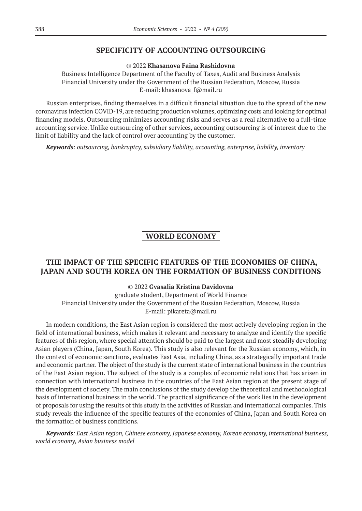# **SPECIFICITY OF ACCOUNTING OUTSOURCING**

© 2022 **Khasanova Faina Rashidovna**

Business Intelligence Department of the Faculty of Taxes, Audit and Business Analysis Financial University under the Government of the Russian Federation, Moscow, Russia E-mail: khasanova\_f@mail.ru

Russian enterprises, finding themselves in a difficult financial situation due to the spread of the new coronavirus infection COVID‑19, are reducing production volumes, optimizing costs and looking for optimal financing models. Outsourcing minimizes accounting risks and serves as a real alternative to a full-time accounting service. Unlike outsourcing of other services, accounting outsourcing is of interest due to the limit of liability and the lack of control over accounting by the customer.

*Keywords: outsourcing, bankruptcy, subsidiary liability, accounting, enterprise, liability, inventory*

# **WORLD ECONOMY**

# **THE IMPACT OF THE SPECIFIC FEATURES OF THE ECONOMIES OF CHINA, JAPAN AND SOUTH KOREA ON THE FORMATION OF BUSINESS CONDITIONS**

### © 2022 **Gvasalia Kristina Davidovna**

graduate student, Department of World Finance Financial University under the Government of the Russian Federation, Moscow, Russia E-mail: pikareta@mail.ru

In modern conditions, the East Asian region is considered the most actively developing region in the field of international business, which makes it relevant and necessary to analyze and identify the specific features of this region, where special attention should be paid to the largest and most steadily developing Asian players (China, Japan, South Korea). This study is also relevant for the Russian economy, which, in the context of economic sanctions, evaluates East Asia, including China, as a strategically important trade and economic partner. The object of the study is the current state of international business in the countries of the East Asian region. The subject of the study is a complex of economic relations that has arisen in connection with international business in the countries of the East Asian region at the present stage of the development of society. The main conclusions of the study develop the theoretical and methodological basis of international business in the world. The practical significance of the work lies in the development of proposals for using the results of this study in the activities of Russian and international companies. This study reveals the influence of the specific features of the economies of China, Japan and South Korea on the formation of business conditions.

*Keywords: East Asian region, Chinese economy, Japanese economy, Korean economy, international business, world economy, Asian business model*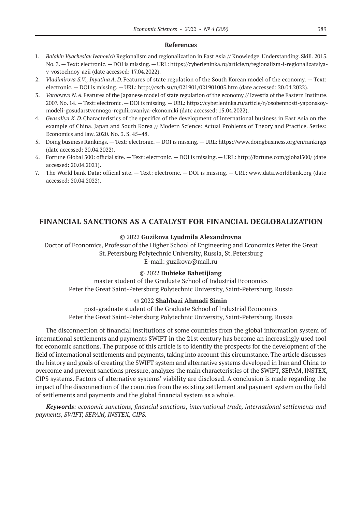### **References**

- 1. *Balakin Vyacheslav Ivanovich* Regionalism and regionalization in East Asia // Knowledge. Understanding. Skill. 2015. No. 3. — Text: electronic. — DOI is missing. — URL: https://cyberleninka.ru/article/n/regionalizm-i-regionalizatsiyav-vostochnoy-azii (date accessed: 17.04.2022).
- 2. *Vladimirova S.V., Inyutina A. D.* Features of state regulation of the South Korean model of the economy. Text: electronic. — DOI is missing. — URL: http://cscb.su/n/021901/021901005.htm (date accessed: 20.04.2022).
- 3. *Vorobyova N.A.*Features of the Japanese model of state regulation of the economy // Izvestia of the Eastern Institute. 2007. No. 14. — Text: electronic. — DOI is missing. — URL: https://cyberleninka.ru/article/n/osobennosti-yaponskoymodeli-gosudarstvennogo-regulirovaniya-ekonomiki (date accessed: 15.04.2022).
- 4. *Gvasaliya K. D.*Characteristics of the specifics of the development of international business in East Asia on the example of China, Japan and South Korea // Modern Science: Actual Problems of Theory and Practice. Series: Economics and law. 2020. No. 3. S. 45–48.
- 5. Doing business Rankings. Text: electronic. DOI is missing. URL: https://www.doingbusiness.org/en/rankings (date accessed: 20.04.2022).
- 6. Fortune Global 500: official site. Text: electronic. DOI is missing. URL: http://fortune.com/global500/ (date accessed: 20.04.2021).
- 7. The World bank Data: official site. Text: electronic. DOI is missing. URL: www.data.worldbank.org (date accessed: 20.04.2022).

# **FINANCIAL SANCTIONS AS A CATALYST FOR FINANCIAL DEGLOBALIZATION**

### © 2022 **Guzikova Lyudmila Alexandrovna**

Doctor of Economics, Professor of the Higher School of Engineering and Economics Peter the Great St.Petersburg Polytechnic University, Russia, St.Petersburg E-mail: guzikova@mail.ru

### © 2022 **Dubieke Bahetijiang**

master student of the Graduate School of Industrial Economics Peter the Great Saint-Petersburg Polytechnic University, Saint-Petersburg, Russia

### © 2022 **Shahbazi Ahmadi Simin**

post-graduate student of the Graduate School of Industrial Economics Peter the Great Saint-Petersburg Polytechnic University, Saint-Petersburg, Russia

The disconnection of financial institutions of some countries from the global information system of international settlements and payments SWIFT in the 21st century has become an increasingly used tool for economic sanctions. The purpose of this article is to identify the prospects for the development of the field of international settlements and payments, taking into account this circumstance. The article discusses the history and goals of creating the SWIFT system and alternative systems developed in Iran and China to overcome and prevent sanctions pressure, analyzes the main characteristics of the SWIFT, SEPAM, INSTEX, CIPS systems. Factors of alternative systems' viability are disclosed. A conclusion is made regarding the impact of the disconnection of the countries from the existing settlement and payment system on the field of settlements and payments and the global financial system as a whole.

*Keywords: economic sanctions, financial sanctions, international trade, international settlements and payments, SWIFT, SEPAM, INSTEX, CIPS.*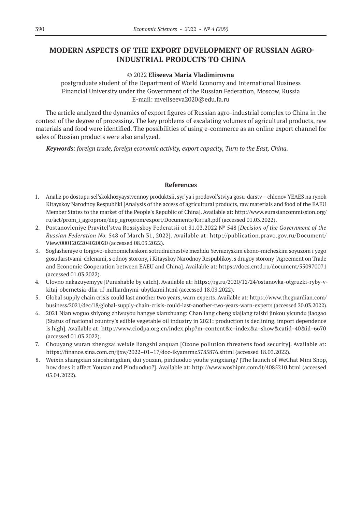# **MODERN ASPECTS OF THE EXPORT DEVELOPMENT OF RUSSIAN AGRO-INDUSTRIAL PRODUCTS TO CHINA**

### © 2022 **Eliseeva Maria Vladimirovna**

postgraduate student of the Department of World Economy and International Business Financial University under the Government of the Russian Federation, Moscow, Russia E-mail: mveliseeva2020@edu.fa.ru

The article analyzed the dynamics of export figures of Russian agro-industrial complex to China in the context of the degree of processing. The key problems of escalating volumes of agricultural products, raw materials and food were identified. The possibilities of using e-commerce as an online export channel for sales of Russian products were also analyzed.

*Keywords: foreign trade, foreign economic activity, export capacity, Turn to the East, China.*

- 1. Analiz po dostupu sel'skokhozyaystvennoy produktsii, syr'ya i prodovol'stviya gosu-darstv chlenov YEAES na rynok Kitayskoy Narodnoy Respubliki [Analysis of the access of agricultural products, raw materials and food of the EAEU Member States to the market of the People's Republic of China]. Available at: http://www.eurasiancommission.org/ ru/act/prom\_i\_agroprom/dep\_agroprom/export/Documents/Китай.pdf (accessed 01.03.2022).
- 2. Postanovleniye Pravitel'stva Rossiyskoy Federatsii ot 31.03.2022 № 548 [*Decision of the Government of the Russian Federation No.* 548 of March 31, 2022]. Available at: http://publication.pravo.gov.ru/Document/ View/0001202204020020 (accessed 08.03.2022).
- 3. Soglasheniye o torgovo-ekonomicheskom sotrudnichestve mezhdu Yevraziyskim ekono-micheskim soyuzom i yego gosudarstvami-chlenami, s odnoy storony, i Kitayskoy Narodnoy Respublikoy, s drugoy storony [Agreement on Trade and Economic Cooperation between EAEU and China]. Available at: https://docs.cntd.ru/document/550970071 (accessed 01.03.2022).
- 4. Ulovno nakazuyemyye [Punishable by catch]. Available at: https://rg.ru/2020/12/24/ostanovka-otgruzki-ryby-vkitaj-obernetsia-dlia-rf-milliardnymi-ubytkami.html (accessed 18.03.2022).
- 5. Global supply chain crisis could last another two years, warn experts. Available at: https://www.theguardian.com/ business/2021/dec/18/global-supply-chain-crisis-could-last-another-two-years-warn-experts (accessed 20.03.2022).
- 6. 2021 Nian woguo shiyong zhiwuyou hangye xianzhuang: Chanliang cheng xiajiang taishi jinkou yicundu jiaogao [Status of national country's edible vegetable oil industry in 2021: production is declining, import dependence is high]. Available at: http://www.ciodpa.org.cn/index.php?m=content&c=index&a=show&catid=40&id=6670 (accessed 01.03.2022).
- 7. Chouyang wuran zhengzai weixie liangshi anquan [Ozone pollution threatens food security]. Available at: https://finance.sina.com.cn/jjxw/2022–01–17/doc-ikyamrmz5785876.shtml (accessed 18.03.2022).
- 8. Weixin shangxian xiaoshangdian, dui youzan, pinduoduo youhe yingxiang? [The launch of WeChat Mini Shop, how does it affect Youzan and Pinduoduo?]. Available at: http://www.woshipm.com/it/4085210.html (accessed 05.04.2022).